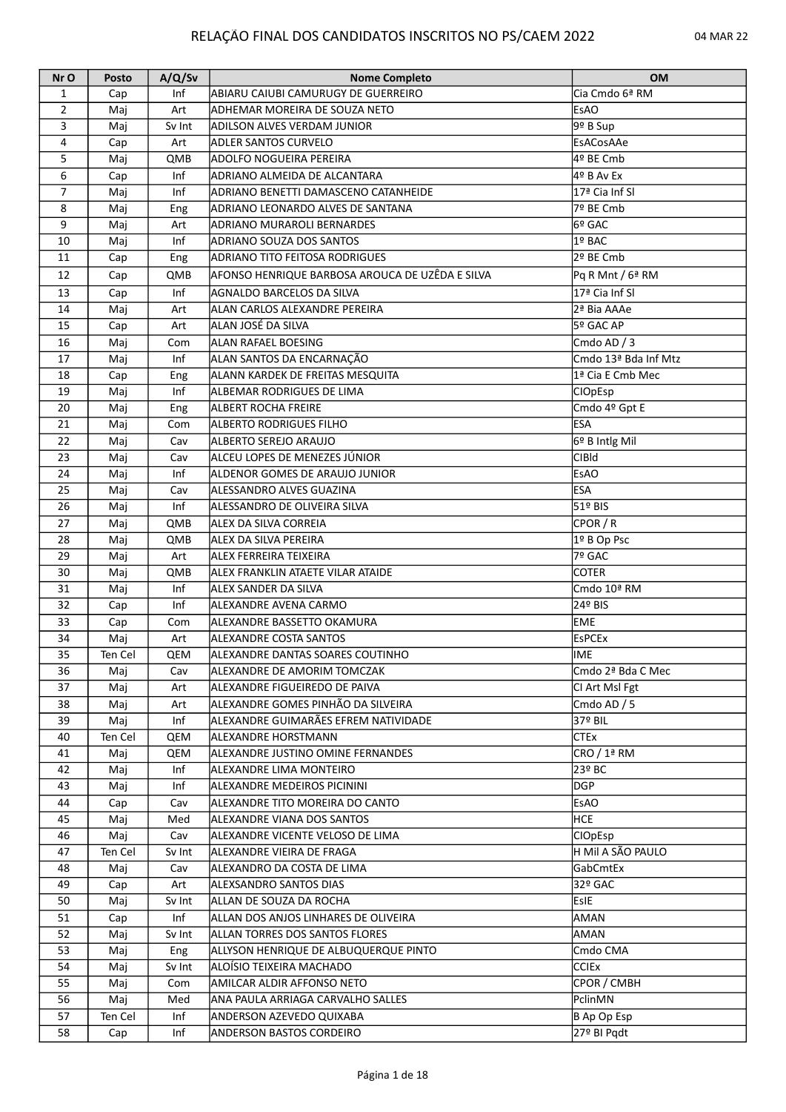## RELAÇÃO FINAL DOS CANDIDATOS INSCRITOS NO PS/CAEM 2022 04 MAR 22

| Nr O           | Posto   | A/Q/Sv     | <b>Nome Completo</b>                            | <b>OM</b>                      |
|----------------|---------|------------|-------------------------------------------------|--------------------------------|
| 1              | Cap     | Inf        | ABIARU CAIUBI CAMURUGY DE GUERREIRO             | Cia Cmdo 6ª RM                 |
| $\overline{2}$ | Maj     | Art        | ADHEMAR MOREIRA DE SOUZA NETO                   | EsAO                           |
| 3              | Maj     | Sv Int     | <b>ADILSON ALVES VERDAM JUNIOR</b>              | 9º B Sup                       |
| 4              | Cap     | Art        | <b>ADLER SANTOS CURVELO</b>                     | EsACosAAe                      |
| 5              | Maj     | QMB        | ADOLFO NOGUEIRA PEREIRA                         | 4º BE Cmb                      |
| 6              | Cap     | Inf        | ADRIANO ALMEIDA DE ALCANTARA                    | 4º B Av Ex                     |
| 7              | Maj     | Inf        | ADRIANO BENETTI DAMASCENO CATANHEIDE            | 17ª Cia Inf Sl                 |
| 8              | Maj     | Eng        | ADRIANO LEONARDO ALVES DE SANTANA               | 7º BE Cmb                      |
| 9              | Maj     | Art        | ADRIANO MURAROLI BERNARDES                      | l6º GAC                        |
| 10             | Maj     | Inf        | ADRIANO SOUZA DOS SANTOS                        | 1º BAC                         |
| 11             | Cap     | Eng        | ADRIANO TITO FEITOSA RODRIGUES                  | 2º BE Cmb                      |
| 12             | Cap     | QMB        | AFONSO HENRIQUE BARBOSA AROUCA DE UZÊDA E SILVA | Pq R Mnt / 6ª RM               |
| 13             | Cap     | Inf        | <b>AGNALDO BARCELOS DA SILVA</b>                | 17ª Cia Inf Sl                 |
| 14             | Maj     | Art        | ALAN CARLOS ALEXANDRE PEREIRA                   | 2ª Bia AAAe                    |
| 15             | Cap     | Art        | ALAN JOSÉ DA SILVA                              | 5º GAC AP                      |
| 16             | Maj     | Com        | <b>ALAN RAFAEL BOESING</b>                      | Cmdo AD / 3                    |
| 17             | Maj     | Inf        | ALAN SANTOS DA ENCARNAÇÃO                       | Cmdo 13ª Bda Inf Mtz           |
| 18             | Cap     | Eng        | ALANN KARDEK DE FREITAS MESQUITA                | 1ª Cia E Cmb Mec               |
| 19             | Maj     | Inf        | ALBEMAR RODRIGUES DE LIMA                       | <b>CIOpEsp</b>                 |
| 20             | Maj     | Eng        | <b>ALBERT ROCHA FREIRE</b>                      | Cmdo 4º Gpt E                  |
| 21             | Maj     | Com        | ALBERTO RODRIGUES FILHO                         | <b>ESA</b>                     |
| 22             |         |            | ALBERTO SEREJO ARAUJO                           |                                |
| 23             | Maj     | Cav<br>Cav | ALCEU LOPES DE MENEZES JÚNIOR                   | 6º B Intlg Mil<br><b>CIBId</b> |
| 24             | Maj     |            |                                                 |                                |
| 25             | Maj     | Inf        | ALDENOR GOMES DE ARAUJO JUNIOR                  | <b>EsAO</b>                    |
|                | Maj     | Cav        | ALESSANDRO ALVES GUAZINA                        | <b>ESA</b>                     |
| 26             | Maj     | Inf        | ALESSANDRO DE OLIVEIRA SILVA                    | 51º BIS                        |
| 27             | Maj     | QMB        | ALEX DA SILVA CORREIA                           | CPOR/R                         |
| 28             | Maj     | QMB        | ALEX DA SILVA PEREIRA                           | 1º B Op Psc                    |
| 29             | Maj     | Art        | ALEX FERREIRA TEIXEIRA                          | 7º GAC                         |
| 30             | Maj     | QMB        | ALEX FRANKLIN ATAETE VILAR ATAIDE               | <b>COTER</b>                   |
| 31             | Maj     | Inf        | ALEX SANDER DA SILVA                            | Cmdo 10ª RM                    |
| 32             | Cap     | Inf        | ALEXANDRE AVENA CARMO                           | 24º BIS                        |
| 33             | Cap     | Com        | ALEXANDRE BASSETTO OKAMURA                      | EME                            |
| 34             | Maj     | Art        | <b>ALEXANDRE COSTA SANTOS</b>                   | <b>EsPCEx</b>                  |
| 35             | Ten Cel | QEM        | ALEXANDRE DANTAS SOARES COUTINHO                | lime                           |
| 36             | Maj     | Cav        | ALEXANDRE DE AMORIM TOMCZAK                     | Cmdo 2ª Bda C Mec              |
| 37             | Maj     | Art        | ALEXANDRE FIGUEIREDO DE PAIVA                   | CI Art Msl Fgt                 |
| 38             | Maj     | Art        | ALEXANDRE GOMES PINHÃO DA SILVEIRA              | Cmdo AD / 5                    |
| 39             | Maj     | Inf        | ALEXANDRE GUIMARÃES EFREM NATIVIDADE            | 37º BIL                        |
| 40             | Ten Cel | QEM        | ALEXANDRE HORSTMANN                             | <b>CTEx</b>                    |
| 41             | Maj     | QEM        | ALEXANDRE JUSTINO OMINE FERNANDES               | CRO / 1ª RM                    |
| 42             | Maj     | Inf        | ALEXANDRE LIMA MONTEIRO                         | 23º BC                         |
| 43             | Maj     | Inf        | ALEXANDRE MEDEIROS PICININI                     | DGP                            |
| 44             | Cap     | Cav        | ALEXANDRE TITO MOREIRA DO CANTO                 | EsAO                           |
| 45             | Maj     | Med        | ALEXANDRE VIANA DOS SANTOS                      | HCE.                           |
| 46             | Maj     | Cav        | ALEXANDRE VICENTE VELOSO DE LIMA                | CIOpEsp                        |
| 47             | Ten Cel | Sv Int     | ALEXANDRE VIEIRA DE FRAGA                       | H Mil A SÃO PAULO              |
| 48             | Maj     | Cav        | ALEXANDRO DA COSTA DE LIMA                      | GabCmtEx                       |
| 49             | Cap     | Art        | ALEXSANDRO SANTOS DIAS                          | 32º GAC                        |
| 50             | Maj     | Sv Int     | ALLAN DE SOUZA DA ROCHA                         | <b>EsIE</b>                    |
| 51             | Cap     | Inf        | ALLAN DOS ANJOS LINHARES DE OLIVEIRA            | AMAN                           |
| 52             | Maj     | Sv Int     | ALLAN TORRES DOS SANTOS FLORES                  | AMAN                           |
| 53             | Maj     | Eng        | ALLYSON HENRIQUE DE ALBUQUERQUE PINTO           | Cmdo CMA                       |
| 54             | Maj     | Sv Int     | ALOÍSIO TEIXEIRA MACHADO                        | <b>CCIEX</b>                   |
| 55             | Maj     | Com        | AMILCAR ALDIR AFFONSO NETO                      | CPOR / CMBH                    |
| 56             | Maj     | Med        | ANA PAULA ARRIAGA CARVALHO SALLES               | PclinMN                        |
| 57             | Ten Cel | Inf        | ANDERSON AZEVEDO QUIXABA                        | B Ap Op Esp                    |
| 58             | Cap     | Inf        | ANDERSON BASTOS CORDEIRO                        | 27º BI Pqdt                    |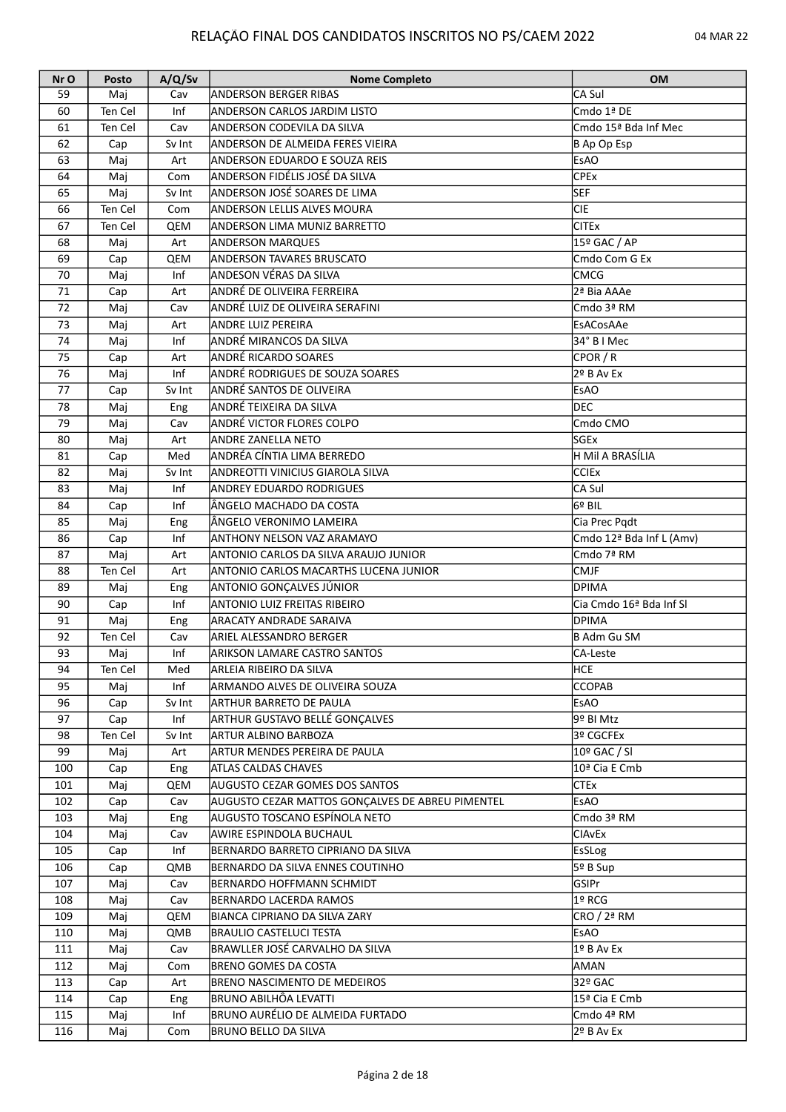| Nr O | Posto   | A/Q/Sv | <b>Nome Completo</b>                             | <b>OM</b>                                  |
|------|---------|--------|--------------------------------------------------|--------------------------------------------|
| 59   | Maj     | Cav    | IANDERSON BERGER RIBAS                           | CA Sul                                     |
| 60   | Ten Cel | Inf    | <b>ANDERSON CARLOS JARDIM LISTO</b>              | $\overline{\text{Cmdo 1}^{\mathsf{a}}}$ DE |
| 61   | Ten Cel | Cav    | <b>ANDERSON CODEVILA DA SILVA</b>                | Cmdo 15ª Bda Inf Mec                       |
| 62   | Cap     | Sv Int | ANDERSON DE ALMEIDA FERES VIEIRA                 | B Ap Op Esp                                |
| 63   | Maj     | Art    | <b>ANDERSON EDUARDO E SOUZA REIS</b>             | <b>EsAO</b>                                |
| 64   | Maj     | Com    | ANDERSON FIDÉLIS JOSÉ DA SILVA                   | <b>CPEx</b>                                |
| 65   | Maj     | Sv Int | ANDERSON JOSÉ SOARES DE LIMA                     | <b>SEF</b>                                 |
| 66   | Ten Cel | Com    | <b>ANDERSON LELLIS ALVES MOURA</b>               | CIE                                        |
| 67   | Ten Cel | QEM    | <b>ANDERSON LIMA MUNIZ BARRETTO</b>              | <b>CITEx</b>                               |
| 68   | Maj     | Art    | <b>ANDERSON MARQUES</b>                          | 15º GAC / AP                               |
| 69   |         | QEM    | <b>ANDERSON TAVARES BRUSCATO</b>                 | Cmdo Com G Ex                              |
| 70   | Cap     | Inf    | <b>ANDESON VÉRAS DA SILVA</b>                    |                                            |
|      | Maj     |        |                                                  | <b>CMCG</b>                                |
| 71   | Cap     | Art    | ANDRÉ DE OLIVEIRA FERREIRA                       | 2ª Bia AAAe                                |
| 72   | Maj     | Cav    | ANDRÉ LUIZ DE OLIVEIRA SERAFINI                  | $\overline{\text{C}}$ mdo 3ª RM            |
| 73   | Maj     | Art    | <b>ANDRE LUIZ PEREIRA</b>                        | EsACosAAe                                  |
| 74   | Maj     | Inf    | ANDRÉ MIRANCOS DA SILVA                          | 34° B I Mec                                |
| 75   | Cap     | Art    | <b>ANDRÉ RICARDO SOARES</b>                      | CPOR / R                                   |
| 76   | Maj     | Inf    | ANDRÉ RODRIGUES DE SOUZA SOARES                  | 2º B Av Ex                                 |
| 77   | Cap     | Sv Int | ANDRÉ SANTOS DE OLIVEIRA                         | <b>EsAO</b>                                |
| 78   | Maj     | Eng    | ANDRÉ TEIXEIRA DA SILVA                          | <b>DEC</b>                                 |
| 79   | Maj     | Cav    | ANDRÉ VICTOR FLORES COLPO                        | Cmdo CMO                                   |
| 80   | Maj     | Art    | ANDRE ZANELLA NETO                               | lsGEx                                      |
| 81   | Cap     | Med    | ANDRÉA CÍNTIA LIMA BERREDO                       | H Mil A BRASÍLIA                           |
| 82   | Maj     | Sv Int | ANDREOTTI VINICIUS GIAROLA SILVA                 | <b>CCIEx</b>                               |
| 83   | Maj     | Inf    | <b>ANDREY EDUARDO RODRIGUES</b>                  | CA Sul                                     |
| 84   | Cap     | Inf    | ÂNGELO MACHADO DA COSTA                          | l6º BIL                                    |
| 85   | Maj     | Eng    | ÂNGELO VERONIMO LAMEIRA                          | Cia Prec Pqdt                              |
| 86   | Cap     | Inf    | <b>ANTHONY NELSON VAZ ARAMAYO</b>                | Cmdo 12ª Bda Inf L (Amv)                   |
| 87   | Maj     | Art    | ANTONIO CARLOS DA SILVA ARAUJO JUNIOR            | Cmdo 7ª RM                                 |
|      |         |        |                                                  |                                            |
| 88   | Ten Cel | Art    | <b>ANTONIO CARLOS MACARTHS LUCENA JUNIOR</b>     | <b>CMJF</b>                                |
| 89   | Maj     | Eng    | ANTONIO GONÇALVES JÚNIOR                         | <b>DPIMA</b>                               |
| 90   | Cap     | Inf    | ANTONIO LUIZ FREITAS RIBEIRO                     | Cia Cmdo 16 <sup>ª</sup> Bda Inf Sl        |
| 91   | Maj     | Eng    | ARACATY ANDRADE SARAIVA                          | <b>DPIMA</b>                               |
| 92   | Ten Cel | Cav    | lariel Alessandro Berger                         | <b>B Adm Gu SM</b>                         |
| 93   | Maj     | Inf    | <b>ARIKSON LAMARE CASTRO SANTOS</b>              | CA-Leste                                   |
| 94   | Ten Cel | Med    | ARLEIA RIBEIRO DA SILVA                          | HCE                                        |
| 95   | Maj     | Inf    | ARMANDO ALVES DE OLIVEIRA SOUZA                  | <b>CCOPAB</b>                              |
| 96   | Cap     | Sv Int | <b>ARTHUR BARRETO DE PAULA</b>                   | <b>EsAO</b>                                |
| 97   | Cap     | Inf    | <b>ARTHUR GUSTAVO BELLÉ GONÇALVES</b>            | 9º BI Mtz                                  |
| 98   | Ten Cel | Sv Int | <b>ARTUR ALBINO BARBOZA</b>                      | 3º CGCFEx                                  |
| 99   | Maj     | Art    | ARTUR MENDES PEREIRA DE PAULA                    | $10^{\circ}$ GAC / SI                      |
| 100  | Cap     | Eng    | <b>ATLAS CALDAS CHAVES</b>                       | 10 <sup>ª</sup> Cia E Cmb                  |
| 101  | Maj     | QEM    | AUGUSTO CEZAR GOMES DOS SANTOS                   | <b>CTEx</b>                                |
| 102  | Cap     | Cav    | AUGUSTO CEZAR MATTOS GONÇALVES DE ABREU PIMENTEL | <b>EsAO</b>                                |
| 103  | Maj     | Eng    | AUGUSTO TOSCANO ESPÍNOLA NETO                    | Cmdo 3ª RM                                 |
| 104  | Maj     | Cav    | <b>AWIRE ESPINDOLA BUCHAUL</b>                   | <b>CIAvEx</b>                              |
| 105  | Cap     | Inf    | BERNARDO BARRETO CIPRIANO DA SILVA               | <b>EsSLog</b>                              |
| 106  |         | QMB    | BERNARDO DA SILVA ENNES COUTINHO                 | 5º B Sup                                   |
|      | Cap     |        |                                                  |                                            |
| 107  | Maj     | Cav    | <b>BERNARDO HOFFMANN SCHMIDT</b>                 | GSIPr                                      |
| 108  | Maj     | Cav    | <b>BERNARDO LACERDA RAMOS</b>                    | 1º RCG                                     |
| 109  | Maj     | QEM    | BIANCA CIPRIANO DA SILVA ZARY                    | CRO / 2ª RM                                |
| 110  | Maj     | QMB    | <b>BRAULIO CASTELUCI TESTA</b>                   | <b>EsAO</b>                                |
| 111  | Maj     | Cav    | BRAWLLER JOSÉ CARVALHO DA SILVA                  | 1º B Av Ex                                 |
| 112  | Maj     | Com    | BRENO GOMES DA COSTA                             | AMAN                                       |
| 113  | Cap     | Art    | <b>BRENO NASCIMENTO DE MEDEIROS</b>              | 32º GAC                                    |
| 114  | Cap     | Eng    | BRUNO ABILHÔA LEVATTI                            | 15ª Cia E Cmb                              |
| 115  | Maj     | Inf    | BRUNO AURÉLIO DE ALMEIDA FURTADO                 | Cmdo 4ª RM                                 |
| 116  | Maj     | Com    | <b>BRUNO BELLO DA SILVA</b>                      | 2º B Av Ex                                 |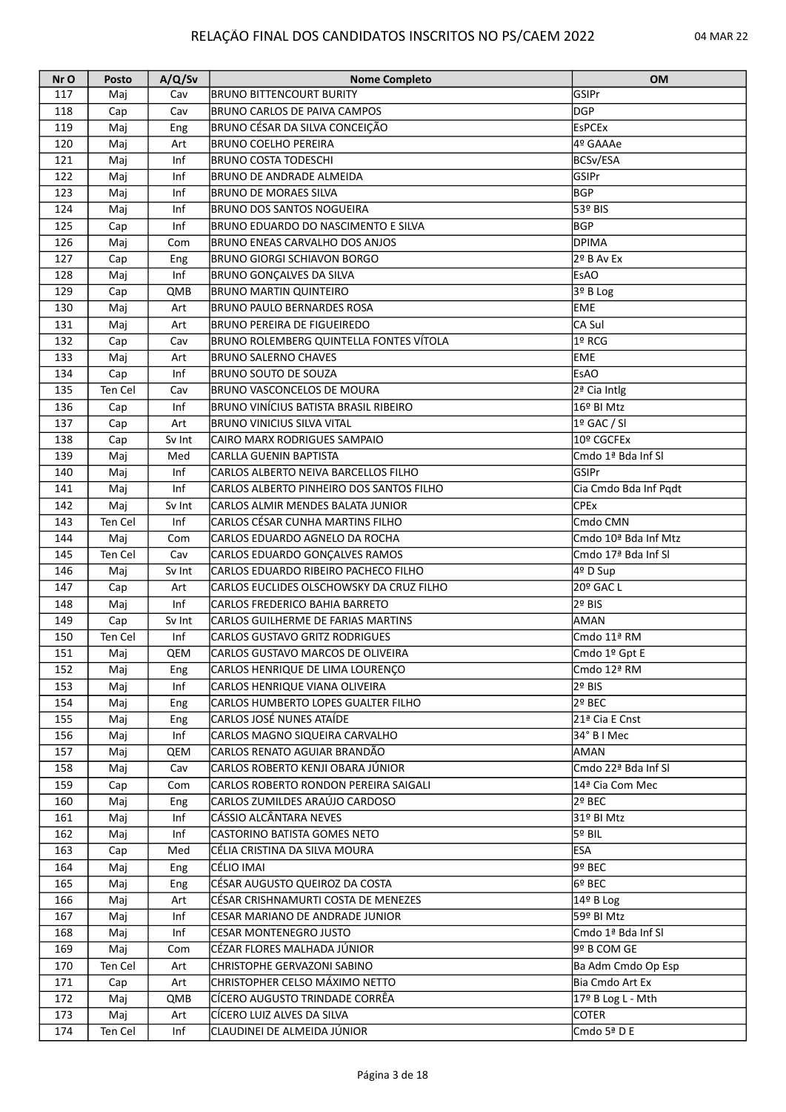| Nr O | Posto   | A/Q/Sv | <b>Nome Completo</b>                     | <b>OM</b>             |
|------|---------|--------|------------------------------------------|-----------------------|
| 117  | Mai     | Cav    | BRUNO BITTENCOURT BURITY                 | <b>GSIPr</b>          |
| 118  | Cap     | Cav    | BRUNO CARLOS DE PAIVA CAMPOS             | <b>DGP</b>            |
| 119  | Maj     | Eng    | BRUNO CÉSAR DA SILVA CONCEIÇÃO           | <b>EsPCEx</b>         |
| 120  | Maj     | Art    | <b>BRUNO COELHO PEREIRA</b>              | 4º GAAAe              |
| 121  | Maj     | Inf    | <b>BRUNO COSTA TODESCHI</b>              | BCSv/ESA              |
| 122  | Maj     | Inf    | BRUNO DE ANDRADE ALMEIDA                 | GSIPr                 |
| 123  | Maj     | Inf    | <b>BRUNO DE MORAES SILVA</b>             | <b>BGP</b>            |
| 124  | Maj     | Inf    | <b>BRUNO DOS SANTOS NOGUEIRA</b>         | 53º BIS               |
| 125  | Cap     | Inf    | BRUNO EDUARDO DO NASCIMENTO E SILVA      | BGP                   |
| 126  | Maj     | Com    | BRUNO ENEAS CARVALHO DOS ANJOS           | DPIMA                 |
| 127  | Cap     | Eng    | <b>BRUNO GIORGI SCHIAVON BORGO</b>       | $2^9$ B Av Ex         |
| 128  | Maj     | Inf    | <b>BRUNO GONÇALVES DA SILVA</b>          | EsAO                  |
| 129  |         |        | <b>BRUNO MARTIN QUINTEIRO</b>            | $3o$ B Log            |
|      | Cap     | QMB    |                                          | EME                   |
| 130  | Maj     | Art    | <b>BRUNO PAULO BERNARDES ROSA</b>        |                       |
| 131  | Maj     | Art    | BRUNO PEREIRA DE FIGUEIREDO              | CA Sul                |
| 132  | Cap     | Cav    | BRUNO ROLEMBERG QUINTELLA FONTES VÍTOLA  | 1º RCG                |
| 133  | Maj     | Art    | <b>BRUNO SALERNO CHAVES</b>              | EME                   |
| 134  | Cap     | Inf    | <b>BRUNO SOUTO DE SOUZA</b>              | EsAO                  |
| 135  | Ten Cel | Cav    | <b>BRUNO VASCONCELOS DE MOURA</b>        | 2ª Cia Intlg          |
| 136  | Cap     | Inf    | BRUNO VINÍCIUS BATISTA BRASIL RIBEIRO    | 16º BI Mtz            |
| 137  | Cap     | Art    | <b>BRUNO VINICIUS SILVA VITAL</b>        | $19$ GAC / SI         |
| 138  | Cap     | Sv Int | CAIRO MARX RODRIGUES SAMPAIO             | 10º CGCFEx            |
| 139  | Maj     | Med    | CARLLA GUENIN BAPTISTA                   | Cmdo 1ª Bda Inf Sl    |
| 140  | Maj     | Inf    | CARLOS ALBERTO NEIVA BARCELLOS FILHO     | GSIPr                 |
| 141  | Maj     | Inf    | CARLOS ALBERTO PINHEIRO DOS SANTOS FILHO | Cia Cmdo Bda Inf Pqdt |
| 142  | Maj     | Sv Int | CARLOS ALMIR MENDES BALATA JUNIOR        | <b>CPEx</b>           |
| 143  | Ten Cel | Inf    | CARLOS CÉSAR CUNHA MARTINS FILHO         | Cmdo CMN              |
| 144  | Maj     | Com    | CARLOS EDUARDO AGNELO DA ROCHA           | Cmdo 10ª Bda Inf Mtz  |
| 145  | Ten Cel | Cav    | CARLOS EDUARDO GONÇALVES RAMOS           | Cmdo 17ª Bda Inf Sl   |
| 146  | Maj     | Sv Int | CARLOS EDUARDO RIBEIRO PACHECO FILHO     | 4º D Sup              |
| 147  | Cap     | Art    | CARLOS EUCLIDES OLSCHOWSKY DA CRUZ FILHO | 20º GAC L             |
| 148  | Maj     | Inf    | CARLOS FREDERICO BAHIA BARRETO           | 2º BIS                |
| 149  | Cap     | Sv Int | CARLOS GUILHERME DE FARIAS MARTINS       | <b>AMAN</b>           |
| 150  | Ten Cel | Inf    | CARLOS GUSTAVO GRITZ RODRIGUES           | Cmdo 11ª RM           |
| 151  | Maj     | QEM    | CARLOS GUSTAVO MARCOS DE OLIVEIRA        | Cmdo 1º Gpt E         |
| 152  |         |        |                                          |                       |
|      | Maj     | Eng    | CARLOS HENRIQUE DE LIMA LOURENÇO         | Cmdo 12ª RM           |
| 153  | Maj     | Inf    | CARLOS HENRIQUE VIANA OLIVEIRA           | 2º BIS                |
| 154  | Maj     | Eng    | CARLOS HUMBERTO LOPES GUALTER FILHO      | 2º BEC                |
| 155  | Maj     | Eng    | CARLOS JOSÉ NUNES ATAÍDE                 | 21ª Cia E Cnst        |
| 156  | Maj     | Inf    | CARLOS MAGNO SIQUEIRA CARVALHO           | 34° B I Mec           |
| 157  | Maj     | QEM    | CARLOS RENATO AGUIAR BRANDÃO             | AMAN                  |
| 158  | Maj     | Cav    | ICARLOS ROBERTO KENJI OBARA JÚNIOR       | Cmdo 22ª Bda Inf Sl   |
| 159  | Cap     | Com    | CARLOS ROBERTO RONDON PEREIRA SAIGALI    | 14ª Cia Com Mec       |
| 160  | Maj     | Eng    | CARLOS ZUMILDES ARAÚJO CARDOSO           | 2º BEC                |
| 161  | Maj     | Inf    | CÁSSIO ALCÂNTARA NEVES                   | 31º BI Mtz            |
| 162  | Maj     | Inf    | CASTORINO BATISTA GOMES NETO             | 5º BIL                |
| 163  | Cap     | Med    | CÉLIA CRISTINA DA SILVA MOURA            | <b>ESA</b>            |
| 164  | Maj     | Eng    | CÉLIO IMAI                               | 9º BEC                |
| 165  | Maj     | Eng    | CÉSAR AUGUSTO QUEIROZ DA COSTA           | 6º BEC                |
| 166  | Maj     | Art    | CÉSAR CRISHNAMURTI COSTA DE MENEZES      | 14º B Log             |
| 167  | Maj     | Inf    | CESAR MARIANO DE ANDRADE JUNIOR          | 59º BI Mtz            |
| 168  | Maj     | Inf    | CESAR MONTENEGRO JUSTO                   | Cmdo 1ª Bda Inf SI    |
| 169  | Maj     | Com    | CÉZAR FLORES MALHADA JÚNIOR              | 9º B COM GE           |
| 170  | Ten Cel | Art    | CHRISTOPHE GERVAZONI SABINO              | Ba Adm Cmdo Op Esp    |
| 171  | Cap     | Art    | CHRISTOPHER CELSO MÁXIMO NETTO           | Bia Cmdo Art Ex       |
| 172  | Maj     | QMB    | CÍCERO AUGUSTO TRINDADE CORRÊA           | 17º B Log L - Mth     |
| 173  | Maj     | Art    | CÍCERO LUIZ ALVES DA SILVA               | <b>COTER</b>          |
| 174  | Ten Cel | Inf    | CLAUDINEI DE ALMEIDA JÚNIOR              | Cmdo 5ª D E           |
|      |         |        |                                          |                       |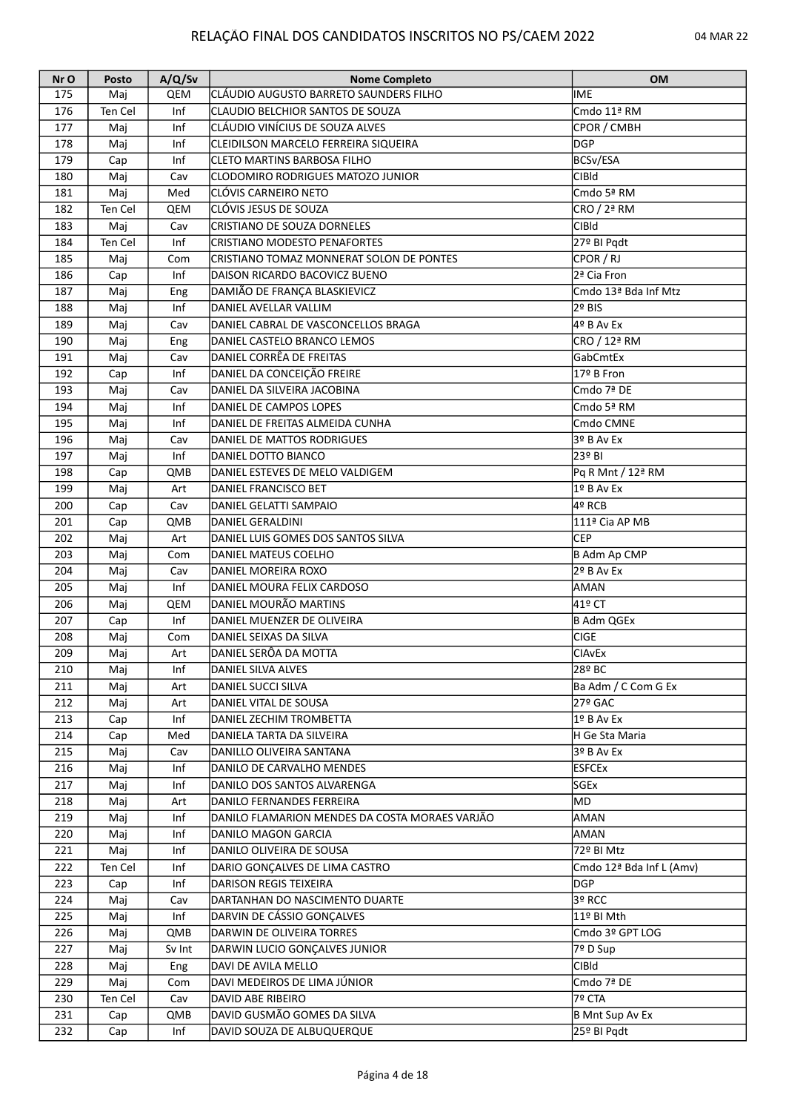| Nr O | Posto   | A/Q/Sv | <b>Nome Completo</b>                           | <b>OM</b>                            |
|------|---------|--------|------------------------------------------------|--------------------------------------|
| 175  | Maj     | QEM    | CLÁUDIO AUGUSTO BARRETO SAUNDERS FILHO         | <b>IME</b>                           |
| 176  | Ten Cel | Inf    | CLAUDIO BELCHIOR SANTOS DE SOUZA               | Cmdo 11ª RM                          |
| 177  | Maj     | Inf    | CLÁUDIO VINÍCIUS DE SOUZA ALVES                | CPOR / CMBH                          |
| 178  | Maj     | Inf    | CLEIDILSON MARCELO FERREIRA SIQUEIRA           | <b>DGP</b>                           |
| 179  | Cap     | Inf    | <b>CLETO MARTINS BARBOSA FILHO</b>             | BCSv/ESA                             |
| 180  | Maj     | Cav    | CLODOMIRO RODRIGUES MATOZO JUNIOR              | <b>CIBId</b>                         |
| 181  | Maj     | Med    | <b>CLÓVIS CARNEIRO NETO</b>                    | Cmdo 5ª RM                           |
| 182  | Ten Cel | QEM    | CLÓVIS JESUS DE SOUZA                          | CRO / 2ª RM                          |
| 183  | Maj     | Cav    | CRISTIANO DE SOUZA DORNELES                    | <b>CIBId</b>                         |
| 184  | Ten Cel | Inf    | CRISTIANO MODESTO PENAFORTES                   | 27º BI Pqdt                          |
| 185  | Maj     | Com    | ICRISTIANO TOMAZ MONNERAT SOLON DE PONTES      | CPOR / RJ                            |
| 186  | Cap     | Inf    | DAISON RICARDO BACOVICZ BUENO                  | 2ª Cia Fron                          |
| 187  | Maj     | Eng    | DAMIÃO DE FRANÇA BLASKIEVICZ                   | Cmdo 13ª Bda Inf Mtz                 |
| 188  | Maj     | Inf    | DANIEL AVELLAR VALLIM                          | 2º BIS                               |
| 189  | Maj     | Cav    | DANIEL CABRAL DE VASCONCELLOS BRAGA            | 4º B Av Ex                           |
| 190  | Maj     | Eng    | DANIEL CASTELO BRANCO LEMOS                    | CRO / 12ª RM                         |
| 191  | Maj     | Cav    | DANIEL CORRÊA DE FREITAS                       | GabCmtEx                             |
| 192  | Cap     | Inf    | DANIEL DA CONCEIÇÃO FREIRE                     | 17º B Fron                           |
| 193  | Maj     | Cav    | DANIEL DA SILVEIRA JACOBINA                    | Cmdo 7ª DE                           |
| 194  | Maj     | Inf    | DANIEL DE CAMPOS LOPES                         | Cmdo 5ª RM                           |
| 195  |         | Inf    | DANIEL DE FREITAS ALMEIDA CUNHA                | Cmdo CMNE                            |
|      | Maj     |        | DANIEL DE MATTOS RODRIGUES                     |                                      |
| 196  | Maj     | Cav    |                                                | 3º B Av Ex                           |
| 197  | Maj     | Inf    | DANIEL DOTTO BIANCO                            | 23º BI                               |
| 198  | Cap     | QMB    | DANIEL ESTEVES DE MELO VALDIGEM                | Pq R Mnt / 12ª RM                    |
| 199  | Maj     | Art    | DANIEL FRANCISCO BET                           | 1º B Av Ex                           |
| 200  | Cap     | Cav    | DANIEL GELATTI SAMPAIO                         | 4º RCB                               |
| 201  | Cap     | QMB    | DANIEL GERALDINI                               | 111ª Cia AP MB                       |
| 202  | Maj     | Art    | DANIEL LUIS GOMES DOS SANTOS SILVA             | <b>CEP</b>                           |
| 203  | Maj     | Com    | DANIEL MATEUS COELHO                           | B Adm Ap CMP                         |
| 204  | Maj     | Cav    | DANIEL MOREIRA ROXO                            | 2º B Av Ex                           |
| 205  | Maj     | Inf    | DANIEL MOURA FELIX CARDOSO                     | AMAN                                 |
| 206  | Maj     | QEM    | DANIEL MOURÃO MARTINS                          | 41º CT                               |
| 207  | Cap     | Inf    | DANIEL MUENZER DE OLIVEIRA                     | B Adm QGEx                           |
| 208  | Maj     | Com    | DANIEL SEIXAS DA SILVA                         | <b>CIGE</b>                          |
| 209  | Maj     | Art    | DANIEL SERÔA DA MOTTA                          | <b>CIAvEx</b>                        |
| 210  | Maj     | Inf    | DANIEL SILVA ALVES                             | 28º BC                               |
| 211  | Maj     | Art    | DANIEL SUCCI SILVA                             | Ba Adm / C Com G Ex                  |
| 212  | Maj     | Art    | DANIEL VITAL DE SOUSA                          | $27°$ GAC                            |
| 213  | Cap     | Inf    | DANIEL ZECHIM TROMBETTA                        | 1º B Av Ex                           |
| 214  | Cap     | Med    | DANIELA TARTA DA SILVEIRA                      | H Ge Sta Maria                       |
| 215  | Maj     | Cav    | DANILLO OLIVEIRA SANTANA                       | 3º B Av Ex                           |
| 216  | Maj     | Inf    | DANILO DE CARVALHO MENDES                      | <b>ESFCEx</b>                        |
| 217  | Maj     | Inf    | DANILO DOS SANTOS ALVARENGA                    | SGEx                                 |
| 218  | Maj     | Art    | DANILO FERNANDES FERREIRA                      | MD)                                  |
| 219  | Maj     | Inf    | DANILO FLAMARION MENDES DA COSTA MORAES VARJÃO | AMAN                                 |
| 220  | Maj     | Inf    | DANILO MAGON GARCIA                            | AMAN                                 |
| 221  | Maj     | Inf    | DANILO OLIVEIRA DE SOUSA                       | 72º BI Mtz                           |
| 222  | Ten Cel | Inf    | DARIO GONÇALVES DE LIMA CASTRO                 | Cmdo 12 <sup>ª</sup> Bda Inf L (Amv) |
| 223  | Cap     | Inf    | <b>DARISON REGIS TEIXEIRA</b>                  | <b>DGP</b>                           |
| 224  | Maj     | Cav    | DARTANHAN DO NASCIMENTO DUARTE                 | 3º RCC                               |
| 225  | Maj     | Inf    | DARVIN DE CÁSSIO GONÇALVES                     | 11º BI Mth                           |
| 226  | Maj     | QMB    | DARWIN DE OLIVEIRA TORRES                      | Cmdo 3º GPT LOG                      |
| 227  | Maj     | Sv Int | DARWIN LUCIO GONÇALVES JUNIOR                  | $\sqrt{7^{\circ}}$ D Sup             |
| 228  | Maj     | Eng    | DAVI DE AVILA MELLO                            | <b>CIBId</b>                         |
| 229  | Maj     | Com    | DAVI MEDEIROS DE LIMA JÚNIOR                   | Cmdo 7ª DE                           |
| 230  | Ten Cel | Cav    | DAVID ABE RIBEIRO                              | 7º CTA                               |
| 231  | Cap     | QMB    | DAVID GUSMÃO GOMES DA SILVA                    | B Mnt Sup Av Ex                      |
| 232  | Cap     | Inf    | DAVID SOUZA DE ALBUQUERQUE                     | 25º BI Pqdt                          |
|      |         |        |                                                |                                      |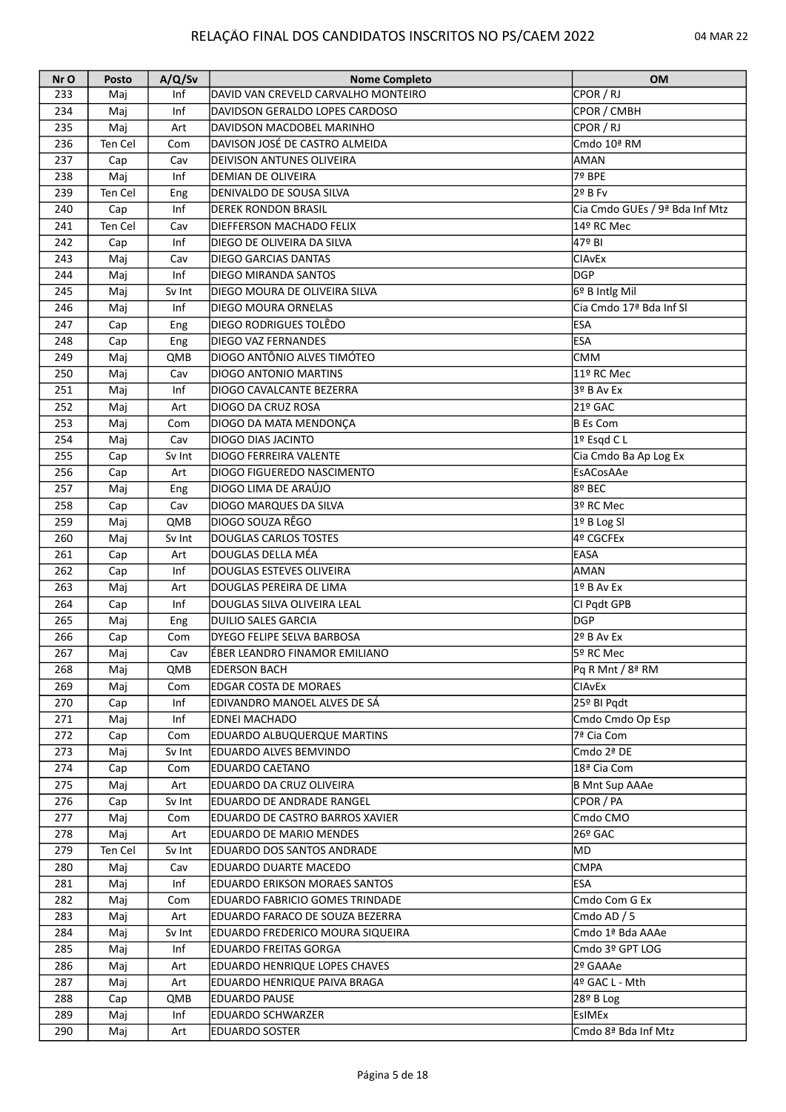| Nr O | Posto   | A/Q/Sv | <b>Nome Completo</b>                 | <b>OM</b>                           |
|------|---------|--------|--------------------------------------|-------------------------------------|
| 233  | Maj     | Inf    | DAVID VAN CREVELD CARVALHO MONTEIRO  | CPOR / RJ                           |
| 234  | Maj     | Inf    | DAVIDSON GERALDO LOPES CARDOSO       | CPOR / CMBH                         |
| 235  | Maj     | Art    | DAVIDSON MACDOBEL MARINHO            | CPOR / RJ                           |
| 236  | Ten Cel | Com    | DAVISON JOSÉ DE CASTRO ALMEIDA       | Cmdo 10ª RM                         |
| 237  | Cap     | Cav    | DEIVISON ANTUNES OLIVEIRA            | AMAN                                |
| 238  | Maj     | Inf    | DEMIAN DE OLIVEIRA                   | 7º BPE                              |
| 239  | Ten Cel | Eng    | DENIVALDO DE SOUSA SILVA             | 2º B Fv                             |
| 240  | Cap     | Inf    | <b>DEREK RONDON BRASIL</b>           | Cia Cmdo GUEs / 9ª Bda Inf Mtz      |
| 241  | Ten Cel | Cav    | <b>DIEFFERSON MACHADO FELIX</b>      | 14º RC Mec                          |
| 242  | Cap     | Inf    | DIEGO DE OLIVEIRA DA SILVA           | 47º BI                              |
| 243  |         | Cav    | <b>DIEGO GARCIAS DANTAS</b>          | <b>CIAVEX</b>                       |
| 244  | Maj     | Inf    | <b>DIEGO MIRANDA SANTOS</b>          | lDGP                                |
|      | Maj     |        |                                      |                                     |
| 245  | Maj     | Sv Int | DIEGO MOURA DE OLIVEIRA SILVA        | 6º B Intlg Mil                      |
| 246  | Maj     | Inf    | DIEGO MOURA ORNELAS                  | Cia Cmdo 17 <sup>ª</sup> Bda Inf SI |
| 247  | Cap     | Eng    | DIEGO RODRIGUES TOLÊDO               | <b>ESA</b>                          |
| 248  | Cap     | Eng    | <b>DIEGO VAZ FERNANDES</b>           | <b>ESA</b>                          |
| 249  | Maj     | QMB    | DIOGO ANTÔNIO ALVES TIMÓTEO          | <b>CMM</b>                          |
| 250  | Maj     | Cav    | <b>DIOGO ANTONIO MARTINS</b>         | 11º RC Mec                          |
| 251  | Maj     | Inf    | DIOGO CAVALCANTE BEZERRA             | 3º B Av Ex                          |
| 252  | Maj     | Art    | DIOGO DA CRUZ ROSA                   | 21º GAC                             |
| 253  | Maj     | Com    | DIOGO DA MATA MENDONÇA               | B Es Com                            |
| 254  | Maj     | Cav    | <b>DIOGO DIAS JACINTO</b>            | 1º Esqd C L                         |
| 255  | Cap     | Sv Int | <b>DIOGO FERREIRA VALENTE</b>        | Cia Cmdo Ba Ap Log Ex               |
| 256  | Cap     | Art    | DIOGO FIGUEREDO NASCIMENTO           | EsACosAAe                           |
| 257  | Maj     | Eng    | DIOGO LIMA DE ARAÚJO                 | 8º BEC                              |
| 258  | Cap     | Cav    | DIOGO MARQUES DA SILVA               | 3º RC Mec                           |
| 259  | Maj     | QMB    | DIOGO SOUZA RÊGO                     | 1º B Log SI                         |
| 260  | Maj     | Sv Int | DOUGLAS CARLOS TOSTES                | 4º CGCFEx                           |
| 261  | Cap     | Art    | DOUGLAS DELLA MÉA                    | <b>EASA</b>                         |
| 262  | Cap     | Inf    | DOUGLAS ESTEVES OLIVEIRA             | AMAN                                |
| 263  |         |        | DOUGLAS PEREIRA DE LIMA              | 1º B Av Ex                          |
|      | Maj     | Art    |                                      |                                     |
| 264  | Cap     | Inf    | DOUGLAS SILVA OLIVEIRA LEAL          | CI Pqdt GPB                         |
| 265  | Maj     | Eng    | DUILIO SALES GARCIA                  | DGP                                 |
| 266  | Cap     | Com    | DYEGO FELIPE SELVA BARBOSA           | 2º B Av Ex                          |
| 267  | Maj     | Cav    | ÉBER LEANDRO FINAMOR EMILIANO        | 5º RC Mec                           |
| 268  | Maj     | QMB    | EDERSON BACH                         | Pq R Mnt / 8ª RM                    |
| 269  | Maj     | Com    | <b>EDGAR COSTA DE MORAES</b>         | <b>CIAVEX</b>                       |
| 270  | Cap     | Inf    | EDIVANDRO MANOEL ALVES DE SÁ         | 25º BI Pqdt                         |
| 271  | Maj     | Inf    | EDNEI MACHADO                        | Cmdo Cmdo Op Esp                    |
| 272  | Cap     | Com    | EDUARDO ALBUQUERQUE MARTINS          | 7ª Cia Com                          |
| 273  | Maj     | Sv Int | <b>EDUARDO ALVES BEMVINDO</b>        | Cmdo 2ª DE                          |
| 274  | Cap     | Com    | <b>EDUARDO CAETANO</b>               | 18 <sup>ª</sup> Cia Com             |
| 275  | Maj     | Art    | EDUARDO DA CRUZ OLIVEIRA             | B Mnt Sup AAAe                      |
| 276  | Cap     | Sv Int | <b>EDUARDO DE ANDRADE RANGEL</b>     | CPOR / PA                           |
| 277  | Maj     | Com    | EDUARDO DE CASTRO BARROS XAVIER      | Cmdo CMO                            |
| 278  | Maj     | Art    | <b>EDUARDO DE MARIO MENDES</b>       | 26º GAC                             |
| 279  | Ten Cel | Sv Int | EDUARDO DOS SANTOS ANDRADE           | MD)                                 |
| 280  | Maj     | Cav    | <b>EDUARDO DUARTE MACEDO</b>         | <b>CMPA</b>                         |
| 281  | Maj     | Inf    | <b>EDUARDO ERIKSON MORAES SANTOS</b> | <b>ESA</b>                          |
| 282  | Maj     | Com    | EDUARDO FABRICIO GOMES TRINDADE      | Cmdo Com G Ex                       |
| 283  | Maj     | Art    | EDUARDO FARACO DE SOUZA BEZERRA      | Cmdo AD / 5                         |
| 284  | Maj     | Sv Int | EDUARDO FREDERICO MOURA SIQUEIRA     | Cmdo 1ª Bda AAAe                    |
| 285  |         | Inf    | <b>EDUARDO FREITAS GORGA</b>         | Cmdo 3º GPT LOG                     |
|      | Maj     |        |                                      |                                     |
| 286  | Maj     | Art    | EDUARDO HENRIQUE LOPES CHAVES        | 2º GAAAe                            |
| 287  | Maj     | Art    | EDUARDO HENRIQUE PAIVA BRAGA         | 4º GAC L - Mth                      |
| 288  | Cap     | QMB    | <b>EDUARDO PAUSE</b>                 | 28º B Log                           |
| 289  | Maj     | Inf    | <b>EDUARDO SCHWARZER</b>             | EsIMEx                              |
| 290  | Maj     | Art    | <b>EDUARDO SOSTER</b>                | Cmdo 8ª Bda Inf Mtz                 |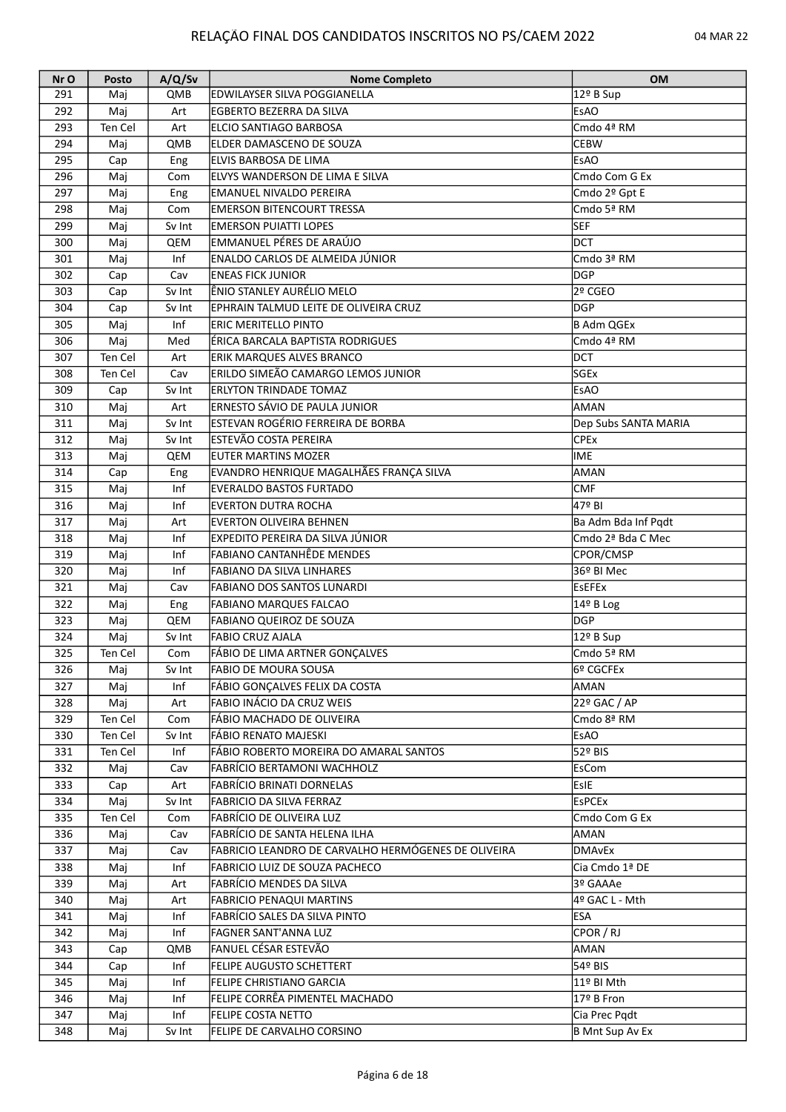| Nr O | Posto   | A/Q/Sv | <b>Nome Completo</b>                                | <b>OM</b>              |
|------|---------|--------|-----------------------------------------------------|------------------------|
| 291  | Mai     | QMB    | <b>IEDWILAYSER SILVA POGGIANELLA</b>                | 12º B Sup              |
| 292  | Maj     | Art    | <b>EGBERTO BEZERRA DA SILVA</b>                     | <b>EsAO</b>            |
| 293  | Ten Cel | Art    | ELCIO SANTIAGO BARBOSA                              | Cmdo 4ª RM             |
| 294  | Maj     | QMB    | ELDER DAMASCENO DE SOUZA                            | <b>CEBW</b>            |
| 295  | Cap     | Eng    | ELVIS BARBOSA DE LIMA                               | <b>EsAO</b>            |
| 296  | Maj     | Com    | ELVYS WANDERSON DE LIMA E SILVA                     | Cmdo Com G Ex          |
| 297  | Maj     | Eng    | <b>EMANUEL NIVALDO PEREIRA</b>                      | Cmdo 2º Gpt E          |
| 298  | Maj     | Com    | <b>EMERSON BITENCOURT TRESSA</b>                    | Cmdo 5ª RM             |
| 299  | Maj     | Sv Int | <b>EMERSON PUIATTI LOPES</b>                        | <b>SEF</b>             |
| 300  | Maj     | QEM    | EMMANUEL PÉRES DE ARAÚJO                            | <b>DCT</b>             |
| 301  | Maj     | Inf    | ENALDO CARLOS DE ALMEIDA JÚNIOR                     | Cmdo 3ª RM             |
| 302  |         | Cav    | <b>ENEAS FICK JUNIOR</b>                            | DGP                    |
| 303  | Cap     | Sv Int | ÊNIO STANLEY AURÉLIO MELO                           | 2º CGEO                |
|      | Cap     |        |                                                     | DGP                    |
| 304  | Cap     | Sv Int | EPHRAIN TALMUD LEITE DE OLIVEIRA CRUZ               |                        |
| 305  | Maj     | Inf    | <b>ERIC MERITELLO PINTO</b>                         | B Adm QGEx             |
| 306  | Maj     | Med    | ÉRICA BARCALA BAPTISTA RODRIGUES                    | Cmdo 4ª RM             |
| 307  | Ten Cel | Art    | <b>ERIK MARQUES ALVES BRANCO</b>                    | DCT                    |
| 308  | Ten Cel | Cav    | ERILDO SIMEÃO CAMARGO LEMOS JUNIOR                  | SGEx                   |
| 309  | Cap     | Sv Int | <b>ERLYTON TRINDADE TOMAZ</b>                       | <b>EsAO</b>            |
| 310  | Maj     | Art    | ERNESTO SÁVIO DE PAULA JUNIOR                       | AMAN                   |
| 311  | Maj     | Sv Int | ESTEVAN ROGÉRIO FERREIRA DE BORBA                   | Dep Subs SANTA MARIA   |
| 312  | Maj     | Sv Int | ESTEVÃO COSTA PEREIRA                               | <b>CPEx</b>            |
| 313  | Maj     | QEM    | <b>EUTER MARTINS MOZER</b>                          | <b>IME</b>             |
| 314  | Cap     | Eng    | EVANDRO HENRIQUE MAGALHÃES FRANÇA SILVA             | <b>AMAN</b>            |
| 315  | Maj     | Inf    | <b>EVERALDO BASTOS FURTADO</b>                      | <b>CMF</b>             |
| 316  | Maj     | Inf    | <b>EVERTON DUTRA ROCHA</b>                          | l47º BI                |
| 317  | Maj     | Art    | <b>EVERTON OLIVEIRA BEHNEN</b>                      | Ba Adm Bda Inf Pqdt    |
| 318  | Maj     | Inf    | EXPEDITO PEREIRA DA SILVA JÚNIOR                    | Cmdo 2ª Bda C Mec      |
| 319  | Maj     | Inf    | <b>FABIANO CANTANHÊDE MENDES</b>                    | CPOR/CMSP              |
| 320  | Maj     | Inf    | <b>FABIANO DA SILVA LINHARES</b>                    | 36º BI Mec             |
| 321  | Maj     | Cav    | <b>FABIANO DOS SANTOS LUNARDI</b>                   | <b>EsEFEx</b>          |
| 322  | Maj     | Eng    | <b>FABIANO MARQUES FALCAO</b>                       | 14º B Log              |
| 323  | Maj     | QEM    | <b>FABIANO QUEIROZ DE SOUZA</b>                     | DGP                    |
| 324  |         |        | <b>FABIO CRUZ AJALA</b>                             |                        |
|      | Maj     | Sv Int |                                                     | 12º B Sup              |
| 325  | Ten Cel | Com    | FÁBIO DE LIMA ARTNER GONÇALVES                      | Cmdo 5ª RM             |
| 326  | Maj     | Sv Int | <b>FABIO DE MOURA SOUSA</b>                         | l6º CGCFEx             |
| 327  | Maj     | Inf    | FÁBIO GONÇALVES FELIX DA COSTA                      | AMAN                   |
| 328  | Maj     | Art    | FABIO INÁCIO DA CRUZ WEIS                           | 22º GAC / AP           |
| 329  | Ten Cel | Com    | FÁBIO MACHADO DE OLIVEIRA                           | Cmdo 8ª RM             |
| 330  | Ten Cel | Sv Int | FÁBIO RENATO MAJESKI                                | <b>EsAO</b>            |
| 331  | Ten Cel | Inf    | FÁBIO ROBERTO MOREIRA DO AMARAL SANTOS              | 52º BIS                |
| 332  | Maj     | Cav    | FABRÍCIO BERTAMONI WACHHOLZ                         | <b>EsCom</b>           |
| 333  | Cap     | Art    | <b>FABRÍCIO BRINATI DORNELAS</b>                    | Esie                   |
| 334  | Maj     | Sv Int | FABRICIO DA SILVA FERRAZ                            | <b>EsPCEx</b>          |
| 335  | Ten Cel | Com    | FABRÍCIO DE OLIVEIRA LUZ                            | Cmdo Com G Ex          |
| 336  | Maj     | Cav    | FABRÍCIO DE SANTA HELENA ILHA                       | AMAN                   |
| 337  | Maj     | Cav    | FABRICIO LEANDRO DE CARVALHO HERMÓGENES DE OLIVEIRA | <b>DMAvEx</b>          |
| 338  | Maj     | Inf    | FABRICIO LUIZ DE SOUZA PACHECO                      | Cia Cmdo 1ª DE         |
| 339  | Maj     | Art    | FABRÍCIO MENDES DA SILVA                            | 3º GAAAe               |
| 340  | Maj     | Art    | <b>FABRICIO PENAQUI MARTINS</b>                     | 4º GAC L - Mth         |
| 341  | Maj     | Inf    | FABRÍCIO SALES DA SILVA PINTO                       | ESA                    |
| 342  | Maj     | Inf    | <b>FAGNER SANT'ANNA LUZ</b>                         | CPOR / RJ              |
| 343  | Cap     | QMB    | FANUEL CÉSAR ESTEVÃO                                | AMAN                   |
| 344  | Cap     | Inf    | <b>FELIPE AUGUSTO SCHETTERT</b>                     | 54º BIS                |
| 345  | Maj     | Inf    | <b>FELIPE CHRISTIANO GARCIA</b>                     | 11º BI Mth             |
| 346  | Maj     | Inf    | FELIPE CORRÊA PIMENTEL MACHADO                      | 17º B Fron             |
| 347  |         | Inf    | <b>FELIPE COSTA NETTO</b>                           |                        |
|      | Maj     |        |                                                     | Cia Prec Pqdt          |
| 348  | Maj     | Sv Int | FELIPE DE CARVALHO CORSINO                          | <b>B Mnt Sup Av Ex</b> |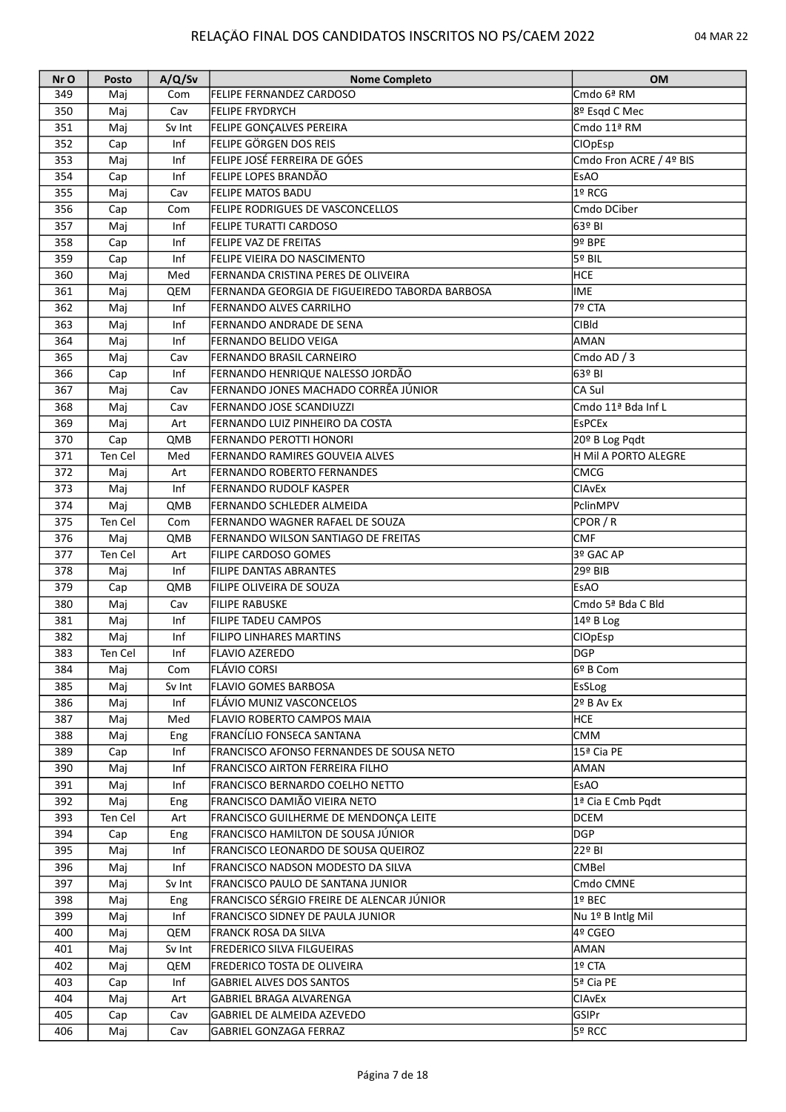| Nr O | Posto   | A/Q/Sv                  | <b>Nome Completo</b>                           | <b>OM</b>               |
|------|---------|-------------------------|------------------------------------------------|-------------------------|
| 349  | Maj     | Com                     | <b>FELIPE FERNANDEZ CARDOSO</b>                | lCmdo 6ª RM             |
| 350  | Maj     | Cav                     | <b>FELIPE FRYDRYCH</b>                         | 8º Esgd C Mec           |
| 351  | Maj     | Sv Int                  | <b>FELIPE GONÇALVES PEREIRA</b>                | Cmdo 11ª RM             |
| 352  | Cap     | Inf                     | FELIPE GÖRGEN DOS REIS                         | <b>CIOpEsp</b>          |
| 353  | Maj     | Inf                     | FELIPE JOSÉ FERREIRA DE GÓES                   | Cmdo Fron ACRE / 4º BIS |
| 354  | Cap     | Inf                     | <b>FELIPE LOPES BRANDÃO</b>                    | <b>EsAO</b>             |
| 355  | Maj     | Cav                     | <b>FELIPE MATOS BADU</b>                       | 1º RCG                  |
| 356  | Cap     | Com                     | <b>FELIPE RODRIGUES DE VASCONCELLOS</b>        | Cmdo DCiber             |
| 357  | Maj     | Inf                     | <b>FELIPE TURATTI CARDOSO</b>                  | 63º BI                  |
| 358  | Cap     | Inf                     | <b>FELIPE VAZ DE FREITAS</b>                   | $9°$ BPE                |
| 359  |         | Inf                     | <b>FELIPE VIEIRA DO NASCIMENTO</b>             | 5º BIL                  |
|      | Cap     |                         |                                                |                         |
| 360  | Maj     | Med                     | FERNANDA CRISTINA PERES DE OLIVEIRA            | <b>HCE</b>              |
| 361  | Maj     | QEM                     | FERNANDA GEORGIA DE FIGUEIREDO TABORDA BARBOSA | IME                     |
| 362  | Maj     | Inf                     | <b>FERNANDO ALVES CARRILHO</b>                 | 7º CTA                  |
| 363  | Maj     | Inf                     | FERNANDO ANDRADE DE SENA                       | <b>CIBId</b>            |
| 364  | Maj     | Inf                     | <b>FERNANDO BELIDO VEIGA</b>                   | <b>AMAN</b>             |
| 365  | Maj     | Cav                     | <b>FERNANDO BRASIL CARNEIRO</b>                | Cmdo AD / 3             |
| 366  | Cap     | Inf                     | FERNANDO HENRIQUE NALESSO JORDÃO               | 63º BI                  |
| 367  | Maj     | $\overline{\text{Cav}}$ | FERNANDO JONES MACHADO CORRÊA JÚNIOR           | CA Sul                  |
| 368  | Maj     | Cav                     | <b>FERNANDO JOSE SCANDIUZZI</b>                | Cmdo 11ª Bda Inf L      |
| 369  | Maj     | Art                     | FERNANDO LUIZ PINHEIRO DA COSTA                | <b>EsPCEx</b>           |
| 370  | Cap     | QMB                     | <b>FERNANDO PEROTTI HONORI</b>                 | 20º B Log Pqdt          |
| 371  | Ten Cel | Med                     | <b>FERNANDO RAMIRES GOUVEIA ALVES</b>          | H Mil A PORTO ALEGRE    |
| 372  | Maj     | Art                     | <b>FERNANDO ROBERTO FERNANDES</b>              | <b>CMCG</b>             |
| 373  | Maj     | Inf                     | <b>FERNANDO RUDOLF KASPER</b>                  | <b>CIAvEx</b>           |
| 374  | Maj     | QMB                     | <b>FERNANDO SCHLEDER ALMEIDA</b>               | PclinMPV                |
| 375  | Ten Cel | Com                     | FERNANDO WAGNER RAFAEL DE SOUZA                | CPOR / R                |
| 376  | Maj     | QMB                     | FERNANDO WILSON SANTIAGO DE FREITAS            | <b>CMF</b>              |
| 377  | Ten Cel |                         | <b>FILIPE CARDOSO GOMES</b>                    | 3º GAC AP               |
|      |         | Art                     |                                                |                         |
| 378  | Maj     | Inf                     | <b>FILIPE DANTAS ABRANTES</b>                  | 29º BIB                 |
| 379  | Cap     | QMB                     | FILIPE OLIVEIRA DE SOUZA                       | <b>EsAO</b>             |
| 380  | Maj     | Cav                     | <b>FILIPE RABUSKE</b>                          | Cmdo 5ª Bda C Bld       |
| 381  | Maj     | Inf                     | <b>FILIPE TADEU CAMPOS</b>                     | $14^{\circ}$ B Log      |
| 382  | Maj     | Inf                     | <b>FILIPO LINHARES MARTINS</b>                 | CIOpEsp                 |
| 383  | Ten Cel | Inf                     | <b>FLAVIO AZEREDO</b>                          | <b>DGP</b>              |
| 384  | Maj     | Com                     | <b>FLÁVIO CORSI</b>                            | 6º B Com                |
| 385  | Maj     | Sv Int                  | <b>FLAVIO GOMES BARBOSA</b>                    | EsSLog                  |
| 386  | Maj     | Inf                     | FLÁVIO MUNIZ VASCONCELOS                       | $2o$ B Av Ex            |
| 387  | Maj     | Med                     | <b>FLAVIO ROBERTO CAMPOS MAIA</b>              | <b>HCE</b>              |
| 388  | Maj     | Eng                     | <b>FRANCÍLIO FONSECA SANTANA</b>               | <b>CMM</b>              |
| 389  | Cap     | Inf                     | FRANCISCO AFONSO FERNANDES DE SOUSA NETO       | 15ª Cia PE              |
| 390  | Maj     | Inf                     | <b>FRANCISCO AIRTON FERREIRA FILHO</b>         | AMAN                    |
| 391  | Maj     | Inf                     | FRANCISCO BERNARDO COELHO NETTO                | <b>EsAO</b>             |
| 392  | Maj     | Eng                     | FRANCISCO DAMIÃO VIEIRA NETO                   | 1ª Cia E Cmb Pqdt       |
| 393  | Ten Cel | Art                     | FRANCISCO GUILHERME DE MENDONÇA LEITE          | DCEM                    |
| 394  | Cap     | Eng                     | FRANCISCO HAMILTON DE SOUSA JÚNIOR             | DGP                     |
| 395  | Maj     | Inf                     | FRANCISCO LEONARDO DE SOUSA QUEIROZ            | 22º BI                  |
| 396  | Maj     | Inf                     | FRANCISCO NADSON MODESTO DA SILVA              | <b>CMBel</b>            |
| 397  | Maj     | Sv Int                  | FRANCISCO PAULO DE SANTANA JUNIOR              | Cmdo CMNE               |
|      |         |                         |                                                | 1º BEC                  |
| 398  | Maj     | Eng                     | FRANCISCO SÉRGIO FREIRE DE ALENCAR JÚNIOR      |                         |
| 399  | Maj     | Inf                     | <b>FRANCISCO SIDNEY DE PAULA JUNIOR</b>        | Nu 1º B Intlg Mil       |
| 400  | Maj     | QEM                     | <b>FRANCK ROSA DA SILVA</b>                    | 4º CGEO                 |
| 401  | Maj     | Sv Int                  | <b>FREDERICO SILVA FILGUEIRAS</b>              | AMAN                    |
| 402  | Maj     | QEM                     | <b>FREDERICO TOSTA DE OLIVEIRA</b>             | 1º CTA                  |
| 403  | Cap     | Inf                     | <b>GABRIEL ALVES DOS SANTOS</b>                | 5ª Cia PE               |
| 404  | Maj     | Art                     | GABRIEL BRAGA ALVARENGA                        | <b>CIAvEx</b>           |
| 405  | Cap     | Cav                     | GABRIEL DE ALMEIDA AZEVEDO                     | GSIPr                   |
| 406  | Maj     | Cav                     | GABRIEL GONZAGA FERRAZ                         | 5º RCC                  |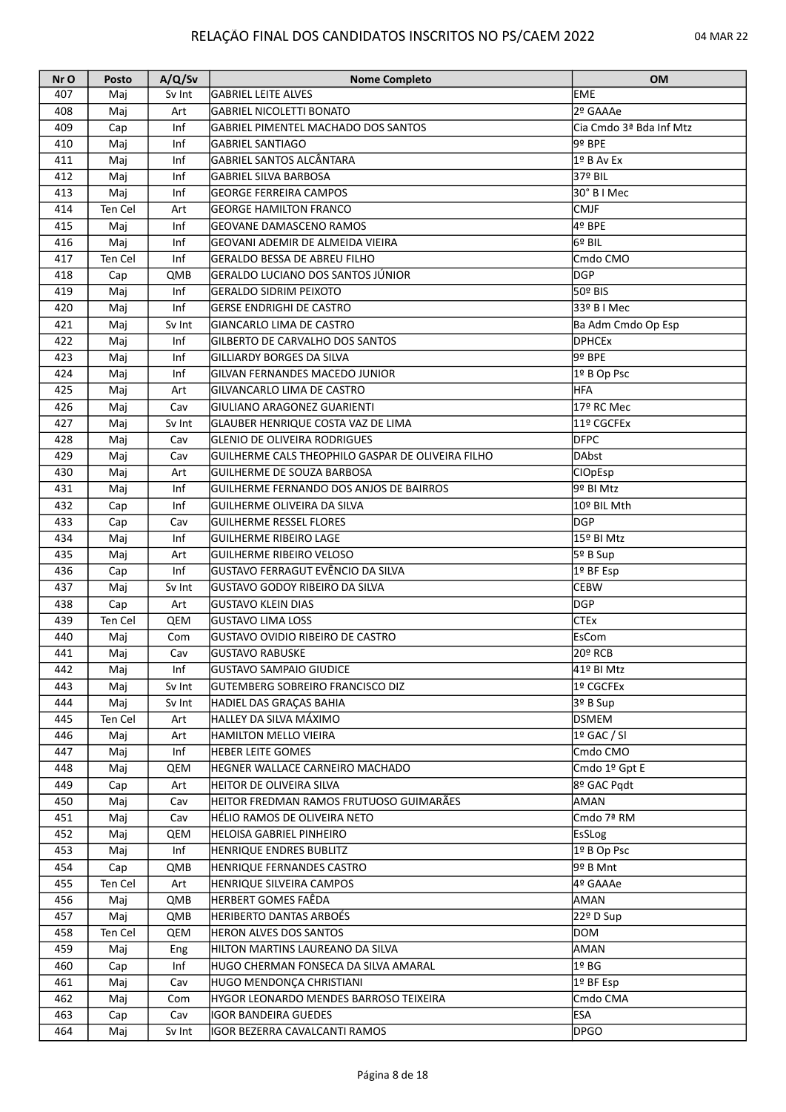| Nr O | Posto   | A/Q/Sv | <b>Nome Completo</b>                              | <b>OM</b>               |
|------|---------|--------|---------------------------------------------------|-------------------------|
| 407  | Mai     | Sv Int | <b>GABRIEL LEITE ALVES</b>                        | <b>EME</b>              |
| 408  | Maj     | Art    | <b>GABRIEL NICOLETTI BONATO</b>                   | 2º GAAAe                |
| 409  | Cap     | Inf    | GABRIEL PIMENTEL MACHADO DOS SANTOS               | Cia Cmdo 3ª Bda Inf Mtz |
| 410  | Maj     | Inf    | <b>GABRIEL SANTIAGO</b>                           | 9º BPE                  |
| 411  | Maj     | Inf    | <b>GABRIEL SANTOS ALCÂNTARA</b>                   | 1º B Av Ex              |
| 412  | Maj     | Inf    | <b>GABRIEL SILVA BARBOSA</b>                      | 37º BIL                 |
| 413  | Maj     | Inf    | <b>GEORGE FERREIRA CAMPOS</b>                     | 30° B I Mec             |
| 414  | Ten Cel | Art    | <b>GEORGE HAMILTON FRANCO</b>                     | <b>CMJF</b>             |
| 415  | Maj     | Inf    | <b>GEOVANE DAMASCENO RAMOS</b>                    | l4º BPE                 |
| 416  | Maj     | Inf    | GEOVANI ADEMIR DE ALMEIDA VIEIRA                  | l6º BIL                 |
| 417  | Ten Cel | Inf    | <b>GERALDO BESSA DE ABREU FILHO</b>               | Cmdo CMO                |
| 418  | Cap     | QMB    | GERALDO LUCIANO DOS SANTOS JÚNIOR                 | <b>DGP</b>              |
| 419  | Maj     | Inf    | <b>GERALDO SIDRIM PEIXOTO</b>                     | l50º BIS                |
| 420  | Maj     | Inf    | <b>GERSE ENDRIGHI DE CASTRO</b>                   | 33º B I Mec             |
| 421  | Maj     | Sv Int | GIANCARLO LIMA DE CASTRO                          | Ba Adm Cmdo Op Esp      |
| 422  | Maj     | Inf    | <b>GILBERTO DE CARVALHO DOS SANTOS</b>            | <b>DPHCEx</b>           |
| 423  | Maj     | Inf    | <b>GILLIARDY BORGES DA SILVA</b>                  | 9º BPE                  |
| 424  | Maj     | Inf    | <b>GILVAN FERNANDES MACEDO JUNIOR</b>             | 1º B Op Psc             |
| 425  |         |        | GILVANCARLO LIMA DE CASTRO                        | <b>HFA</b>              |
|      | Maj     | Art    |                                                   |                         |
| 426  | Maj     | Cav    | GIULIANO ARAGONEZ GUARIENTI                       | 17º RC Mec              |
| 427  | Maj     | Sv Int | GLAUBER HENRIQUE COSTA VAZ DE LIMA                | 11º CGCFEx              |
| 428  | Maj     | Cav    | <b>GLENIO DE OLIVEIRA RODRIGUES</b>               | <b>DFPC</b>             |
| 429  | Maj     | Cav    | GUILHERME CALS THEOPHILO GASPAR DE OLIVEIRA FILHO | DAbst                   |
| 430  | Maj     | Art    | GUILHERME DE SOUZA BARBOSA                        | <b>CIOpEsp</b>          |
| 431  | Maj     | Inf    | GUILHERME FERNANDO DOS ANJOS DE BAIRROS           | 9º BI Mtz               |
| 432  | Cap     | Inf    | <b>GUILHERME OLIVEIRA DA SILVA</b>                | 10º BIL Mth             |
| 433  | Cap     | Cav    | <b>GUILHERME RESSEL FLORES</b>                    | <b>DGP</b>              |
| 434  | Maj     | Inf    | <b>GUILHERME RIBEIRO LAGE</b>                     | 15º BI Mtz              |
| 435  | Maj     | Art    | <b>GUILHERME RIBEIRO VELOSO</b>                   | 5º B Sup                |
| 436  | Cap     | Inf    | ÍGUSTAVO FERRAGUT EVÊNCIO DA SILVA                | 1º BF Esp               |
| 437  | Maj     | Sv Int | İGUSTAVO GODOY RIBEIRO DA SILVA                   | <b>CEBW</b>             |
| 438  | Cap     | Art    | <b>GUSTAVO KLEIN DIAS</b>                         | DGP                     |
| 439  | Ten Cel | QEM    | <b>GUSTAVO LIMA LOSS</b>                          | <b>CTEx</b>             |
| 440  | Maj     | Com    | GUSTAVO OVIDIO RIBEIRO DE CASTRO                  | EsCom                   |
| 441  | Maj     | Cav    | GUSTAVO RABUSKE                                   | 20º RCB                 |
| 442  | Maj     | Inf    | <b>GUSTAVO SAMPAIO GIUDICE</b>                    | 41º BI Mtz              |
| 443  | Maj     | Sv Int | <b>GUTEMBERG SOBREIRO FRANCISCO DIZ</b>           | 1º CGCFEx               |
| 444  | Maj     | Sv Int | HADIEL DAS GRACAS BAHIA                           | 3º B Sup                |
| 445  | Ten Cel | Art    | HALLEY DA SILVA MÁXIMO                            | DSMEM                   |
| 446  | Maj     | Art    | <b>HAMILTON MELLO VIEIRA</b>                      | $19$ GAC / SI           |
| 447  | Maj     | Inf    | <b>HEBER LEITE GOMES</b>                          | Cmdo CMO                |
| 448  | Maj     | QEM    | HEGNER WALLACE CARNEIRO MACHADO                   | Cmdo 1º Gpt E           |
| 449  | Cap     | Art    | <b>HEITOR DE OLIVEIRA SILVA</b>                   | 8º GAC Pqdt             |
| 450  | Maj     | Cav    | HEITOR FREDMAN RAMOS FRUTUOSO GUIMARÃES           | AMAN                    |
| 451  | Maj     | Cav    | HÉLIO RAMOS DE OLIVEIRA NETO                      | Cmdo 7ª RM              |
| 452  | Maj     | QEM    | <b>HELOISA GABRIEL PINHEIRO</b>                   | <b>EsSLog</b>           |
| 453  | Maj     | Inf    | <b>HENRIQUE ENDRES BUBLITZ</b>                    | 1º B Op Psc             |
| 454  | Cap     | QMB    | HENRIQUE FERNANDES CASTRO                         | 9º B Mnt                |
| 455  | Ten Cel | Art    | <b>HENRIQUE SILVEIRA CAMPOS</b>                   | 4º GAAAe                |
| 456  | Maj     | QMB    | HERBERT GOMES FAÊDA                               | AMAN                    |
| 457  | Maj     | QMB    | HERIBERTO DANTAS ARBOÉS                           | 22º D Sup               |
| 458  | Ten Cel | QEM    | <b>HERON ALVES DOS SANTOS</b>                     | DOM                     |
| 459  | Maj     | Eng    | HILTON MARTINS LAUREANO DA SILVA                  | AMAN                    |
| 460  | Cap     | Inf    | HUGO CHERMAN FONSECA DA SILVA AMARAL              | 1º BG                   |
| 461  | Maj     | Cav    | HUGO MENDONÇA CHRISTIANI                          | 1º BF Esp               |
| 462  | Maj     | Com    | HYGOR LEONARDO MENDES BARROSO TEIXEIRA            | Cmdo CMA                |
| 463  | Cap     | Cav    | IGOR BANDEIRA GUEDES                              | ESA                     |
| 464  | Maj     | Sv Int | IGOR BEZERRA CAVALCANTI RAMOS                     | <b>DPGO</b>             |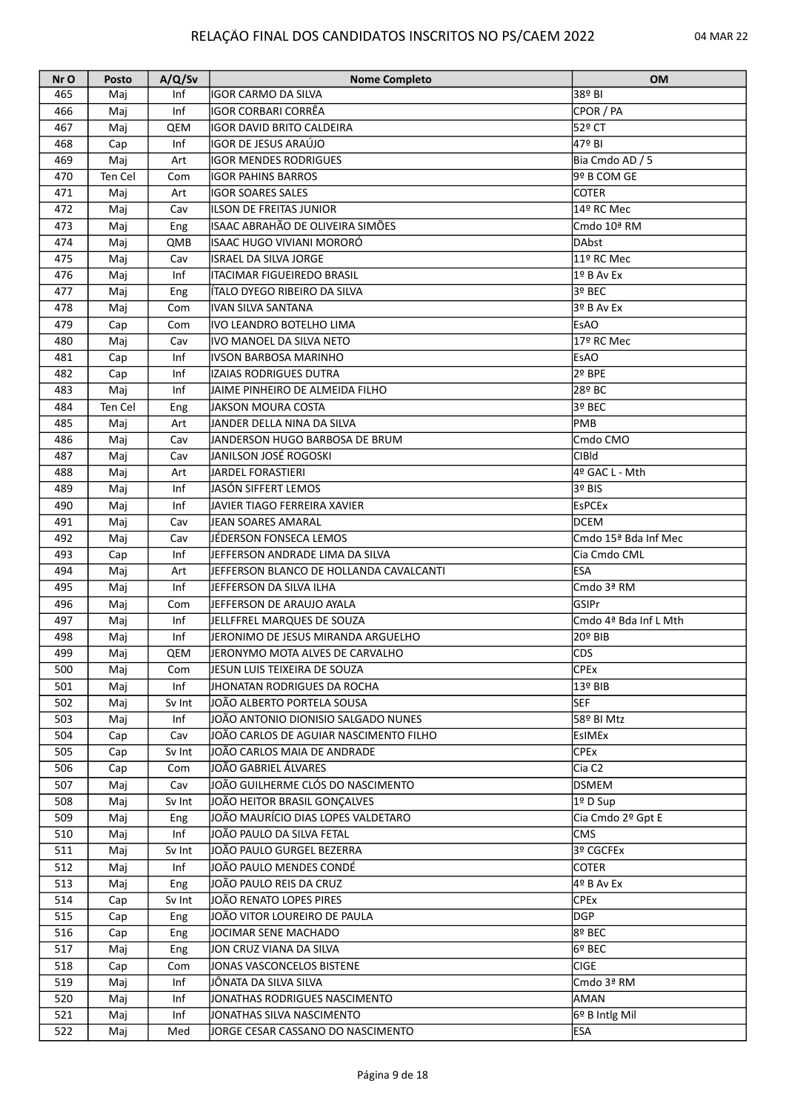| Nr O | Posto   | A/Q/Sv     | <b>Nome Completo</b>                    | <b>OM</b>             |
|------|---------|------------|-----------------------------------------|-----------------------|
| 465  | Maj     | Inf        | IGOR CARMO DA SILVA                     | 38º BI                |
| 466  | Maj     | Inf        | IGOR CORBARI CORRÊA                     | CPOR / PA             |
| 467  | Maj     | QEM        | <b>IGOR DAVID BRITO CALDEIRA</b>        | 52º CT                |
| 468  | Cap     | Inf        | IGOR DE JESUS ARAÚJO                    | $\sqrt{479}$ BI       |
| 469  | Maj     | Art        | <b>IGOR MENDES RODRIGUES</b>            | Bia Cmdo AD / 5       |
| 470  | Ten Cel | Com        | <b>IGOR PAHINS BARROS</b>               | l9º B COM GE          |
| 471  | Maj     | Art        | <b>IGOR SOARES SALES</b>                | <b>COTER</b>          |
| 472  | Maj     | Cav        | ILSON DE FREITAS JUNIOR                 | 14º RC Mec            |
| 473  | Maj     | Eng        | ISAAC ABRAHÃO DE OLIVEIRA SIMÕES        | Cmdo 10ª RM           |
| 474  | Maj     | QMB        | lISAAC HUGO VIVIANI MORORÓ              | lDAbst                |
| 475  | Maj     | Cav        | ISRAEL DA SILVA JORGE                   | 11º RC Mec            |
| 476  | Maj     | Inf        | <b>ITACIMAR FIGUEIREDO BRASIL</b>       | $1°$ B Av Ex          |
| 477  | Maj     | Eng        | ÍÍTALO DYEGO RIBEIRO DA SILVA           | l3º BEC               |
| 478  |         |            |                                         | 3º B Av Ex            |
|      | Maj     | Com        | IVAN SILVA SANTANA                      |                       |
| 479  | Cap     | Com        | lIVO LEANDRO BOTELHO LIMA               | EsAO                  |
| 480  | Maj     | Cav        | IVO MANOEL DA SILVA NETO                | 17º RC Mec            |
| 481  | Cap     | Inf        | IVSON BARBOSA MARINHO                   | <b>EsAO</b>           |
| 482  | Cap     | Inf        | IZAIAS RODRIGUES DUTRA                  | l2º BPE               |
| 483  | Maj     | Inf        | JAIME PINHEIRO DE ALMEIDA FILHO         | 28º BC∣               |
| 484  | Ten Cel | Eng        | JAKSON MOURA COSTA                      | l3º BEC               |
| 485  | Maj     | Art        | JANDER DELLA NINA DA SILVA              | lpmb                  |
| 486  | Maj     | Cav        | JANDERSON HUGO BARBOSA DE BRUM          | Cmdo CMO              |
| 487  | Maj     | Cav        | ljanilson josé rogoski                  | lCIBId                |
| 488  | Maj     | Art        | JARDEL FORASTIERI                       | 4º GAC L - Mth        |
| 489  | Maj     | Inf        | JASÓN SIFFERT LEMOS                     | 3º BIS                |
| 490  | Maj     | Inf        | ljavier Tiago Ferreira Xavier           | <b>EsPCEx</b>         |
| 491  | Maj     | Cav        | JEAN SOARES AMARAL                      | IDCEM                 |
| 492  | Maj     | Cav        | JÉDERSON FONSECA LEMOS                  | Cmdo 15ª Bda Inf Mec  |
| 493  | Cap     | Inf        | JEFFERSON ANDRADE LIMA DA SILVA         | Cia Cmdo CML          |
| 494  | Maj     | Art        | JEFFERSON BLANCO DE HOLLANDA CAVALCANTI | lesa                  |
| 495  | Maj     | Inf        | JEFFERSON DA SILVA ILHA                 | lCmdo 3ª RM           |
| 496  | Maj     | Com        | JEFFERSON DE ARAUJO AYALA               | lGSIPr                |
| 497  | Maj     | Inf        | JELLFFREL MARQUES DE SOUZA              | Cmdo 4ª Bda Inf L Mth |
| 498  | Maj     | Inf        | JERONIMO DE JESUS MIRANDA ARGUELHO      | 20º BIB∣              |
| 499  | Maj     | QEM        | JERONYMO MOTA ALVES DE CARVALHO         | <b>CDS</b>            |
| 500  | Maj     | Com        | JESUN LUIS TEIXEIRA DE SOUZA            | <b>CPEx</b>           |
| 501  | Maj     | Inf        | JHONATAN RODRIGUES DA ROCHA             | 13º BIB               |
| 502  | Maj     | Sv Int     | JOÃO ALBERTO PORTELA SOUSA              | lsef                  |
| 503  | Maj     | Inf        | JOÃO ANTONIO DIONISIO SALGADO NUNES     | 58º BI Mtz            |
| 504  | Cap     | Cav        | JOÃO CARLOS DE AGUIAR NASCIMENTO FILHO  | EsIMEx                |
| 505  | Cap     | Sv Int     | JOÃO CARLOS MAIA DE ANDRADE             | CPEx                  |
| 506  | Cap     | Com        | JOÃO GABRIEL ÁLVARES                    | Cia C <sub>2</sub>    |
| 507  | Maj     | Cav        | JOÃO GUILHERME CLÓS DO NASCIMENTO       | DSMEM                 |
| 508  | Maj     | Sv Int     | JOÃO HEITOR BRASIL GONÇALVES            | 1º D Sup              |
| 509  | Maj     | Eng        | JOÃO MAURÍCIO DIAS LOPES VALDETARO      | Cia Cmdo 2º Gpt E     |
| 510  | Maj     | Inf        | JOÃO PAULO DA SILVA FETAL               | <b>CMS</b>            |
| 511  | Maj     | Sv Int     | JOÃO PAULO GURGEL BEZERRA               | 3º CGCFEx             |
| 512  | Maj     | Inf        | JOÃO PAULO MENDES CONDÉ                 | <b>COTER</b>          |
| 513  | Maj     | Eng        | JOÃO PAULO REIS DA CRUZ                 | 4º B Av Ex            |
| 514  | Cap     | Sv Int     | JOÃO RENATO LOPES PIRES                 | <b>CPEx</b>           |
| 515  | Cap     | <b>Eng</b> | JOÃO VITOR LOUREIRO DE PAULA            | DGP                   |
| 516  | Cap     | Eng        | JOCIMAR SENE MACHADO                    | 8º BEC                |
| 517  | Maj     | Eng        | JON CRUZ VIANA DA SILVA                 | l6º BEC               |
| 518  | Cap     | Com        | JONAS VASCONCELOS BISTENE               | <b>CIGE</b>           |
| 519  | Maj     | Inf        | JÔNATA DA SILVA SILVA                   | Cmdo 3ª RM            |
| 520  | Maj     | Inf        | JONATHAS RODRIGUES NASCIMENTO           | AMAN                  |
| 521  | Maj     | Inf        | JONATHAS SILVA NASCIMENTO               | 6º B Intlg Mil        |
| 522  | Maj     | Med        | JORGE CESAR CASSANO DO NASCIMENTO       | <b>ESA</b>            |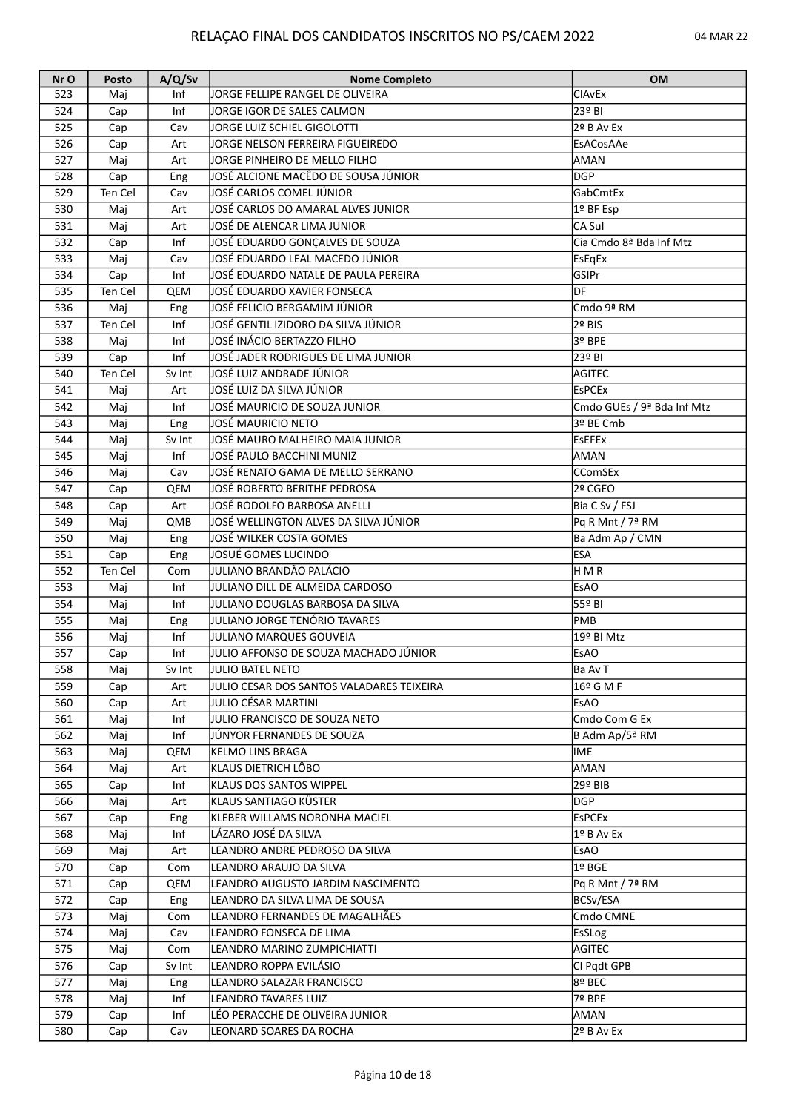| Nr O | Posto   | A/Q/Sv | <b>Nome Completo</b>                      | <b>OM</b>                    |
|------|---------|--------|-------------------------------------------|------------------------------|
| 523  | Maj     | Inf    | JORGE FELLIPE RANGEL DE OLIVEIRA          | <b>CIAvEx</b>                |
| 524  | Cap     | Inf    | JORGE IGOR DE SALES CALMON                | 23º BI                       |
| 525  | Cap     | Cav    | JORGE LUIZ SCHIEL GIGOLOTTI               | $2o$ B Av Ex                 |
| 526  | Cap     | Art    | JORGE NELSON FERREIRA FIGUEIREDO          | EsACosAAe                    |
| 527  | Maj     | Art    | JORGE PINHEIRO DE MELLO FILHO             | AMAN                         |
| 528  | Cap     | Eng    | JOSÉ ALCIONE MACÊDO DE SOUSA JÚNIOR       | lDGP                         |
| 529  | Ten Cel | Cav    | JOSÉ CARLOS COMEL JÚNIOR                  | GabCmtEx                     |
| 530  | Maj     | Art    | JOSÉ CARLOS DO AMARAL ALVES JUNIOR        | 1º BF Esp                    |
| 531  | Maj     | Art    | JOSÉ DE ALENCAR LIMA JUNIOR               | lCA Sul                      |
| 532  | Cap     | Inf    | JOSÉ EDUARDO GONÇALVES DE SOUZA           | Cia Cmdo 8ª Bda Inf Mtz      |
| 533  |         | Cav    | JOSÉ EDUARDO LEAL MACEDO JÚNIOR           |                              |
|      | Maj     | Inf    | JOSÉ EDUARDO NATALE DE PAULA PEREIRA      | EsEqEx                       |
| 534  | Cap     |        |                                           | <b>GSIPr</b>                 |
| 535  | Ten Cel | QEM    | JOSÉ EDUARDO XAVIER FONSECA               | ldf.                         |
| 536  | Maj     | Eng    | JOSÉ FELICIO BERGAMIM JÚNIOR              | Cmdo 9ª RM                   |
| 537  | Ten Cel | Inf    | JOSÉ GENTIL IZIDORO DA SILVA JÚNIOR       | 2º BIS                       |
| 538  | Maj     | Inf    | JOSÉ INÁCIO BERTAZZO FILHO                | 3º BPE                       |
| 539  | Cap     | Inf    | JOSÉ JADER RODRIGUES DE LIMA JUNIOR       | 23º BI                       |
| 540  | Ten Cel | Sv Int | JOSÉ LUIZ ANDRADE JÚNIOR                  | AGITEC                       |
| 541  | Maj     | Art    | JOSÉ LUIZ DA SILVA JÚNIOR                 | <b>EsPCEx</b>                |
| 542  | Maj     | Inf    | JOSÉ MAURICIO DE SOUZA JUNIOR             | Cmdo GUEs / 9ª Bda Inf Mtz   |
| 543  | Maj     | Eng    | JOSÉ MAURICIO NETO                        | 3º BE Cmb                    |
| 544  | Maj     | Sv Int | JOSÉ MAURO MALHEIRO MAIA JUNIOR           | EsEFEx                       |
| 545  | Maj     | Inf    | JOSÉ PAULO BACCHINI MUNIZ                 | laman                        |
| 546  | Maj     | Cav    | JOSÉ RENATO GAMA DE MELLO SERRANO         | <b>CComSEx</b>               |
| 547  | Cap     | QEM    | JOSÉ ROBERTO BERITHE PEDROSA              | 2º CGEO                      |
| 548  | Cap     | Art    | JOSÉ RODOLFO BARBOSA ANELLI               | Bia C Sv / FSJ               |
| 549  | Maj     | QMB    | JOSÉ WELLINGTON ALVES DA SILVA JÚNIOR     | Pq R Mnt / 7 <sup>ª</sup> RM |
| 550  | Maj     | Eng    | JOSÉ WILKER COSTA GOMES                   | Ba Adm Ap / CMN              |
| 551  | Cap     | Eng    | JOSUÉ GOMES LUCINDO                       | <b>ESA</b>                   |
| 552  | Ten Cel | Com    | JULIANO BRANDÃO PALÁCIO                   | H M R                        |
| 553  |         | Inf    | JULIANO DILL DE ALMEIDA CARDOSO           | <b>EsAO</b>                  |
|      | Maj     | Inf    | JULIANO DOUGLAS BARBOSA DA SILVA          |                              |
| 554  | Maj     |        |                                           | 55º BI                       |
| 555  | Maj     | Eng    | JULIANO JORGE TENÓRIO TAVARES             | <b>PMB</b>                   |
| 556  | Maj     | Inf    | JULIANO MARQUES GOUVEIA                   | 19º BI Mtz                   |
| 557  | Cap     | Inf    | JULIO AFFONSO DE SOUZA MACHADO JÚNIOR     | EsAO                         |
| 558  | Maj     | Sv Int | <b>JULIO BATEL NETO</b>                   | Ba Av T                      |
| 559  | Cap     | Art    | JULIO CESAR DOS SANTOS VALADARES TEIXEIRA | 16º G M F                    |
| 560  | Cap     | Art    | JULIO CÉSAR MARTINI                       | <b>EsAO</b>                  |
| 561  | Maj     | Inf    | JULIO FRANCISCO DE SOUZA NETO             | Cmdo Com G Ex                |
| 562  | Maj     | Inf    | JJÚNYOR FERNANDES DE SOUZA                | B Adm Ap/5ª RM               |
| 563  | Maj     | QEM    | KELMO LINS BRAGA                          | lime                         |
| 564  | Maj     | Art    | <b>KLAUS DIETRICH LÔBO</b>                | AMAN                         |
| 565  | Cap     | Inf    | <b>KLAUS DOS SANTOS WIPPEL</b>            | 29º BIB                      |
| 566  | Maj     | Art    | lKLAUS SANTIAGO KÜSTER                    | DGP                          |
| 567  | Cap     | Eng    | KLEBER WILLAMS NORONHA MACIEL             | <b>EsPCEx</b>                |
| 568  | Maj     | Inf    | LÁZARO JOSÉ DA SILVA                      | 1º B Av Ex                   |
| 569  | Maj     | Art    | LEANDRO ANDRE PEDROSO DA SILVA            | <b>EsAO</b>                  |
| 570  | Cap     | Com    | LEANDRO ARAUJO DA SILVA                   | 1º BGE                       |
| 571  | Cap     | QEM    | LEANDRO AUGUSTO JARDIM NASCIMENTO         | Pq R Mnt / 7ª RM             |
| 572  | Cap     | Eng    | LEANDRO DA SILVA LIMA DE SOUSA            | BCSv/ESA                     |
| 573  | Maj     | Com    | LEANDRO FERNANDES DE MAGALHÃES            | Cmdo CMNE                    |
| 574  | Maj     | Cav    | LEANDRO FONSECA DE LIMA                   | <b>EsSLog</b>                |
|      |         |        |                                           |                              |
| 575  | Maj     | Com    | LEANDRO MARINO ZUMPICHIATTI               | AGITEC                       |
| 576  | Cap     | Sv Int | LEANDRO ROPPA EVILÁSIO                    | CI Pgdt GPB                  |
| 577  | Maj     | Eng    | LEANDRO SALAZAR FRANCISCO                 | 8º BEC                       |
| 578  | Maj     | Inf    | LEANDRO TAVARES LUIZ                      | 7º BPE                       |
| 579  | Cap     | Inf    | LÉO PERACCHE DE OLIVEIRA JUNIOR           | AMAN                         |
| 580  | Cap     | Cav    | LEONARD SOARES DA ROCHA                   | 2º B Av Ex                   |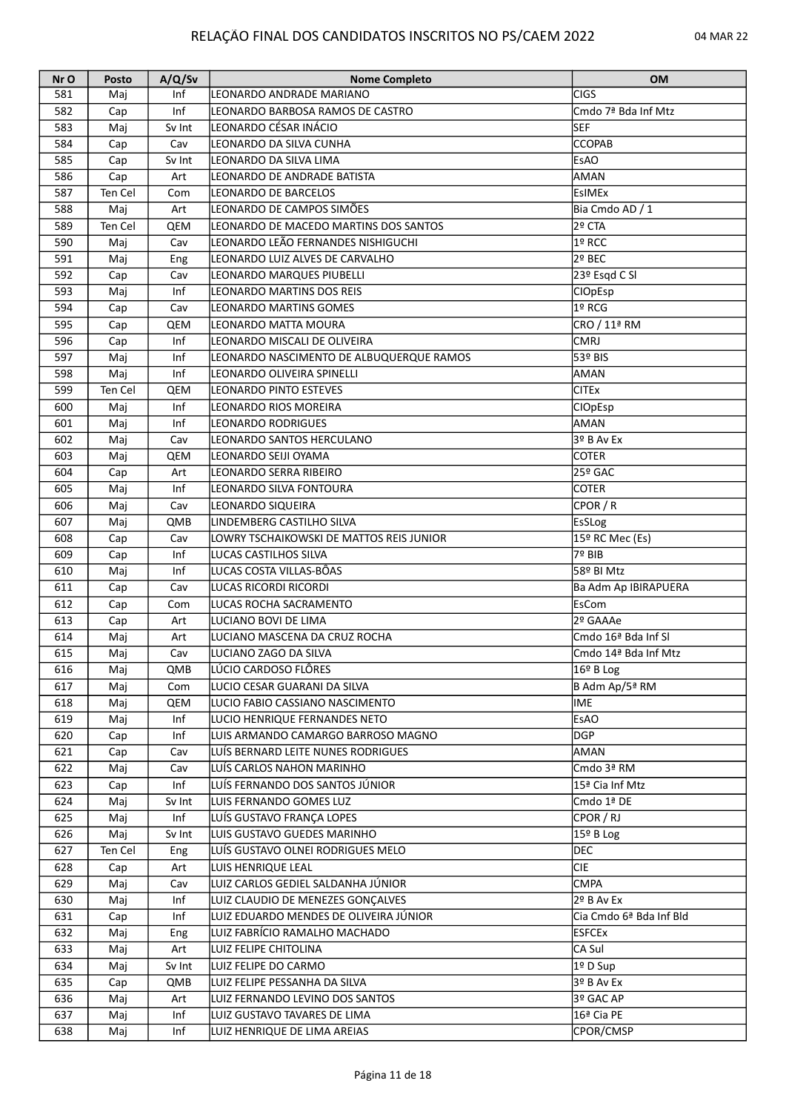| Nr O | Posto   | A/Q/Sv | <b>Nome Completo</b>                                 | <b>OM</b>               |
|------|---------|--------|------------------------------------------------------|-------------------------|
| 581  | Mai     | Inf    | LEONARDO ANDRADE MARIANO                             | CIGS                    |
| 582  | Cap     | Inf    | LEONARDO BARBOSA RAMOS DE CASTRO                     | Cmdo 7ª Bda Inf Mtz     |
| 583  | Maj     | Sv Int | LEONARDO CÉSAR INÁCIO                                | SEF                     |
| 584  | Cap     | Cav    | LEONARDO DA SILVA CUNHA                              | <b>CCOPAB</b>           |
| 585  | Cap     | Sv Int | LEONARDO DA SILVA LIMA                               | EsAO                    |
| 586  | Cap     | Art    | LEONARDO DE ANDRADE BATISTA                          | AMAN                    |
| 587  | Ten Cel | Com    | LEONARDO DE BARCELOS                                 | <b>EsIMEx</b>           |
| 588  | Maj     | Art    | LEONARDO DE CAMPOS SIMÕES                            | Bia Cmdo AD / 1         |
| 589  | Ten Cel | QEM    | LEONARDO DE MACEDO MARTINS DOS SANTOS                | 2º CTA                  |
| 590  | Maj     | Cav    | LEONARDO LEÃO FERNANDES NISHIGUCHI                   | 1º RCC                  |
| 591  | Maj     | Eng    | LEONARDO LUIZ ALVES DE CARVALHO                      | 2º BEC                  |
| 592  | Cap     | Cav    | LEONARDO MARQUES PIUBELLI                            | 23º Esqd C SI           |
| 593  |         | Inf    | LEONARDO MARTINS DOS REIS                            |                         |
|      | Maj     |        |                                                      | <b>CIOpEsp</b>          |
| 594  | Cap     | Cav    | LEONARDO MARTINS GOMES                               | 1º RCG                  |
| 595  | Cap     | QEM    | LEONARDO MATTA MOURA                                 | CRO / 11ª RM            |
| 596  | Cap     | Inf    | lleonardo Miscali de Oliveira                        | <b>CMRJ</b>             |
| 597  | Maj     | Inf    | LEONARDO NASCIMENTO DE ALBUQUERQUE RAMOS             | 53º BIS                 |
| 598  | Maj     | Inf    | LEONARDO OLIVEIRA SPINELLI                           | AMAN                    |
| 599  | Ten Cel | QEM    | LEONARDO PINTO ESTEVES                               | <b>CITEx</b>            |
| 600  | Maj     | Inf    | <b>LEONARDO RIOS MOREIRA</b>                         | <b>CIOpEsp</b>          |
| 601  | Maj     | Inf    | <b>LEONARDO RODRIGUES</b>                            | AMAN                    |
| 602  | Maj     | Cav    | LEONARDO SANTOS HERCULANO                            | 3º B Av Ex              |
| 603  | Maj     | QEM    | LEONARDO SEIJI OYAMA                                 | <b>COTER</b>            |
| 604  | Cap     | Art    | LEONARDO SERRA RIBEIRO                               | $25°$ GAC               |
| 605  | Maj     | Inf    | LEONARDO SILVA FONTOURA                              | COTER                   |
| 606  | Maj     | Cav    | LEONARDO SIQUEIRA                                    | CPOR / R                |
| 607  | Maj     | QMB    | LINDEMBERG CASTILHO SILVA                            | EsSLog                  |
| 608  | Cap     | Cav    | LOWRY TSCHAIKOWSKI DE MATTOS REIS JUNIOR             | 15º RC Mec (Es)         |
| 609  | Cap     | Inf    | LUCAS CASTILHOS SILVA                                | 7º BIB                  |
| 610  | Maj     | Inf    | LUCAS COSTA VILLAS-BÔAS                              | 58º BI Mtz              |
| 611  | Cap     | Cav    | LUCAS RICORDI RICORDI                                | Ba Adm Ap IBIRAPUERA    |
| 612  | Cap     | Com    | LUCAS ROCHA SACRAMENTO                               | EsCom                   |
| 613  | Cap     | Art    | ILUCIANO BOVI DE LIMA                                | 2º GAAAe                |
| 614  | Maj     | Art    | LUCIANO MASCENA DA CRUZ ROCHA                        | Cmdo 16ª Bda Inf SI     |
| 615  | Maj     | Cav    | LUCIANO ZAGO DA SILVA                                | Cmdo 14ª Bda Inf Mtz    |
|      |         |        |                                                      |                         |
| 616  | Maj     | QMB    | LÚCIO CARDOSO FLÔRES<br>LUCIO CESAR GUARANI DA SILVA | 16º B Log               |
| 617  | Maj     | Com    |                                                      | B Adm Ap/5ª RM          |
| 618  | Maj     | QEM    | LUCIO FABIO CASSIANO NASCIMENTO                      | lime.                   |
| 619  | Maj     | Inf    | <b>LUCIO HENRIQUE FERNANDES NETO</b>                 | <b>EsAO</b>             |
| 620  | Cap     | Inf    | LUIS ARMANDO CAMARGO BARROSO MAGNO                   | <b>DGP</b>              |
| 621  | Cap     | Cav    | LUÍS BERNARD LEITE NUNES RODRIGUES                   | AMAN                    |
| 622  | Maj     | Cav    | LUÍS CARLOS NAHON MARINHO                            | Cmdo 3ª RM              |
| 623  | Cap     | Inf    | LUÍS FERNANDO DOS SANTOS JÚNIOR                      | 15ª Cia Inf Mtz         |
| 624  | Maj     | Sv Int | LUIS FERNANDO GOMES LUZ                              | Cmdo 1ª DE              |
| 625  | Maj     | Inf    | LUÍS GUSTAVO FRANÇA LOPES                            | CPOR / RJ               |
| 626  | Maj     | Sv Int | LUIS GUSTAVO GUEDES MARINHO                          | 15º B Log               |
| 627  | Ten Cel | Eng    | LUÍS GUSTAVO OLNEI RODRIGUES MELO                    | DEC                     |
| 628  | Cap     | Art    | LUIS HENRIQUE LEAL                                   | <b>CIE</b>              |
| 629  | Maj     | Cav    | LUIZ CARLOS GEDIEL SALDANHA JÚNIOR                   | <b>CMPA</b>             |
| 630  | Maj     | Inf    | LUIZ CLAUDIO DE MENEZES GONÇALVES                    | 2º B Av Ex              |
| 631  | Cap     | Inf    | LUIZ EDUARDO MENDES DE OLIVEIRA JÚNIOR               | Cia Cmdo 6ª Bda Inf Bld |
| 632  | Maj     | Eng    | LUIZ FABRÍCIO RAMALHO MACHADO                        | <b>ESFCEx</b>           |
| 633  | Maj     | Art    | LUIZ FELIPE CHITOLINA                                | CA Sul                  |
| 634  | Maj     | Sv Int | LUIZ FELIPE DO CARMO                                 | 1º D Sup                |
| 635  | Cap     | QMB    | LUIZ FELIPE PESSANHA DA SILVA                        | 3º B Av Ex              |
| 636  | Maj     | Art    | LUIZ FERNANDO LEVINO DOS SANTOS                      | 3º GAC AP               |
| 637  | Maj     | Inf    | LUIZ GUSTAVO TAVARES DE LIMA                         | 16ª Cia PE              |
| 638  | Maj     | Inf    | LUIZ HENRIQUE DE LIMA AREIAS                         | CPOR/CMSP               |
|      |         |        |                                                      |                         |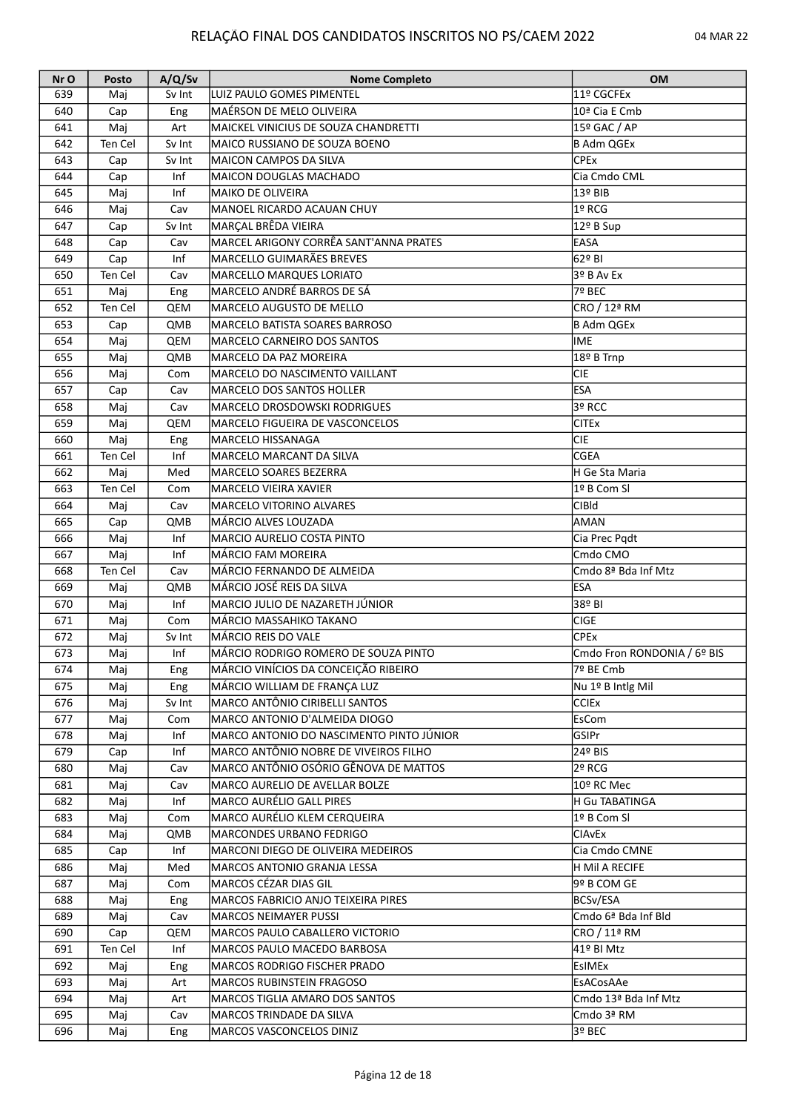| Nr O | <b>Posto</b> | A/Q/Sv | <b>Nome Completo</b>                     | <b>OM</b>                   |
|------|--------------|--------|------------------------------------------|-----------------------------|
| 639  | Mai          | Sv Int | LUIZ PAULO GOMES PIMENTEL                | 11º CGCFEx                  |
| 640  | Cap          | Eng    | MAÉRSON DE MELO OLIVEIRA                 | 10ª Cia E Cmb               |
| 641  | Maj          | Art    | MAICKEL VINICIUS DE SOUZA CHANDRETTI     | 15º GAC / AP                |
| 642  | Ten Cel      | Sv Int | MAICO RUSSIANO DE SOUZA BOENO            | B Adm QGEx                  |
| 643  | Cap          | Sv Int | IMAICON CAMPOS DA SILVA                  | <b>CPEx</b>                 |
| 644  | Cap          | Inf    | MAICON DOUGLAS MACHADO                   | Cia Cmdo CML                |
| 645  | Maj          | Inf    | <b>MAIKO DE OLIVEIRA</b>                 | 13º BIB                     |
| 646  | Maj          | Cav    | MANOEL RICARDO ACAUAN CHUY               | 1º RCG                      |
| 647  | Cap          | Sv Int | MARÇAL BRÊDA VIEIRA                      | 12º B Sup                   |
| 648  | Cap          | Cav    | MARCEL ARIGONY CORRÊA SANT'ANNA PRATES   | <b>EASA</b>                 |
| 649  | Cap          | Inf    | MARCELLO GUIMARÃES BREVES                | 162º BI                     |
| 650  | Ten Cel      | Cav    | MARCELLO MARQUES LORIATO                 | $3°$ B Av Ex                |
| 651  |              |        | MARCELO ANDRÉ BARROS DE SÁ               | l7º BEC                     |
|      | Maj          | Eng    |                                          |                             |
| 652  | Ten Cel      | QEM    | MARCELO AUGUSTO DE MELLO                 | CRO / 12ª RM                |
| 653  | Cap          | QMB    | MARCELO BATISTA SOARES BARROSO           | B Adm QGEx                  |
| 654  | Maj          | QEM    | MARCELO CARNEIRO DOS SANTOS              | IME                         |
| 655  | Maj          | QMB    | MARCELO DA PAZ MOREIRA                   | 18º B Trnp                  |
| 656  | Maj          | Com    | MARCELO DO NASCIMENTO VAILLANT           | CIE                         |
| 657  | Cap          | Cav    | MARCELO DOS SANTOS HOLLER                | <b>ESA</b>                  |
| 658  | Maj          | Cav    | MARCELO DROSDOWSKI RODRIGUES             | 3º RCC                      |
| 659  | Maj          | QEM    | MARCELO FIGUEIRA DE VASCONCELOS          | <b>CITEx</b>                |
| 660  | Maj          | Eng    | MARCELO HISSANAGA                        | <b>CIE</b>                  |
| 661  | Ten Cel      | Inf    | MARCELO MARCANT DA SILVA                 | lcgea                       |
| 662  | Maj          | Med    | MARCELO SOARES BEZERRA                   | H Ge Sta Maria              |
| 663  | Ten Cel      | Com    | MARCELO VIEIRA XAVIER                    | l1º B Com Sl                |
| 664  | Maj          | Cav    | MARCELO VITORINO ALVARES                 | <b>CIBId</b>                |
| 665  | Cap          | QMB    | MÁRCIO ALVES LOUZADA                     | AMAN                        |
| 666  | Maj          | Inf    | MARCIO AURELIO COSTA PINTO               | Cia Prec Pqdt               |
| 667  | Maj          | Inf    | MÁRCIO FAM MOREIRA                       | Cmdo CMO                    |
| 668  | Ten Cel      | Cav    | MÁRCIO FERNANDO DE ALMEIDA               | Cmdo 8ª Bda Inf Mtz         |
| 669  | Maj          | QMB    | MÁRCIO JOSÉ REIS DA SILVA                | lesa                        |
| 670  | Maj          | Inf    | MARCIO JULIO DE NAZARETH JÚNIOR          | 38º BI                      |
| 671  | Maj          | Com    | MÁRCIO MASSAHIKO TAKANO                  | <b>CIGE</b>                 |
| 672  | Maj          | Sv Int | MÁRCIO REIS DO VALE                      | <b>CPEx</b>                 |
| 673  | Maj          | Inf    | IMÁRCIO RODRIGO ROMERO DE SOUZA PINTO    | Cmdo Fron RONDONIA / 6º BIS |
| 674  |              |        | MÁRCIO VINÍCIOS DA CONCEIÇÃO RIBEIRO     | 7º BE Cmb                   |
| 675  | Maj          | Eng    | MÁRCIO WILLIAM DE FRANÇA LUZ             |                             |
|      | Maj          | Eng    |                                          | Nu 1º B Intlg Mil           |
| 676  | Maj          | Sv Int | MARCO ANTÔNIO CIRIBELLI SANTOS           | <b>CCIEx</b>                |
| 677  | Maj          | Com    | MARCO ANTONIO D'ALMEIDA DIOGO            | lEsCom                      |
| 678  | Maj          | Inf    | MARCO ANTONIO DO NASCIMENTO PINTO JÚNIOR | GSIPr                       |
| 679  | Cap          | Inf    | MARCO ANTÔNIO NOBRE DE VIVEIROS FILHO    | 24º BIS                     |
| 680  | Maj          | Cav    | MARCO ANTÔNIO OSÓRIO GÊNOVA DE MATTOS    | 2º RCG                      |
| 681  | Maj          | Cav    | MARCO AURELIO DE AVELLAR BOLZE           | 10º RC Mec                  |
| 682  | Maj          | Inf    | lMARCO AURÉLIO GALL PIRES                | H Gu TABATINGA              |
| 683  | Maj          | Com    | <b>IMARCO AURÉLIO KLEM CERQUEIRA</b>     | l1º B Com SI                |
| 684  | Maj          | QMB    | MARCONDES URBANO FEDRIGO                 | <b>CIAVEX</b>               |
| 685  | Cap          | Inf    | MARCONI DIEGO DE OLIVEIRA MEDEIROS       | Cia Cmdo CMNE               |
| 686  | Maj          | Med    | MARCOS ANTONIO GRANJA LESSA              | H Mil A RECIFE              |
| 687  | Maj          | Com    | MARCOS CÉZAR DIAS GIL                    | 9º B COM GE                 |
| 688  | Maj          | Eng    | MARCOS FABRICIO ANJO TEIXEIRA PIRES      | <b>BCSv/ESA</b>             |
| 689  | Maj          | Cav    | <b>MARCOS NEIMAYER PUSSI</b>             | Cmdo 6ª Bda Inf Bld         |
| 690  | Cap          | QEM    | MARCOS PAULO CABALLERO VICTORIO          | CRO / 11ª RM                |
| 691  | Ten Cel      | Inf    | MARCOS PAULO MACEDO BARBOSA              | 41º BI Mtz                  |
| 692  | Maj          | Eng    | MARCOS RODRIGO FISCHER PRADO             | <b>EsIMEx</b>               |
| 693  | Maj          | Art    | MARCOS RUBINSTEIN FRAGOSO                | EsACosAAe                   |
| 694  | Maj          | Art    | MARCOS TIGLIA AMARO DOS SANTOS           | Cmdo 13ª Bda Inf Mtz        |
| 695  | Maj          | Cav    | MARCOS TRINDADE DA SILVA                 | Cmdo 3ª RM                  |
| 696  | Maj          | Eng    | MARCOS VASCONCELOS DINIZ                 | 3º BEC                      |
|      |              |        |                                          |                             |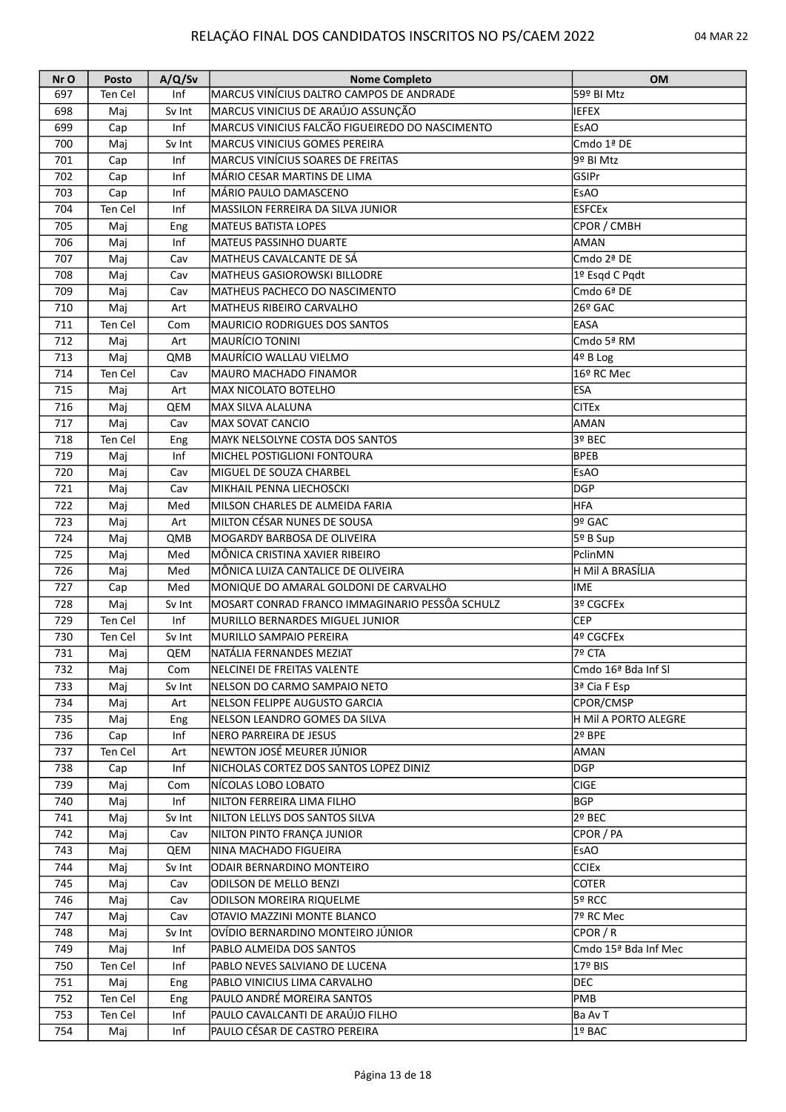| Nr O | Posto   | A/Q/Sv | <b>Nome Completo</b>                                                        | <b>OM</b>            |
|------|---------|--------|-----------------------------------------------------------------------------|----------------------|
| 697  | Ten Cel | Inf    | MARCUS VINÍCIUS DALTRO CAMPOS DE ANDRADE                                    | 59º BI Mtz           |
| 698  | Maj     | Sv Int | MARCUS VINICIUS DE ARAÚJO ASSUNÇÃO                                          | <b>IEFEX</b>         |
| 699  | Cap     | Inf    | MARCUS VINICIUS FALCÃO FIGUEIREDO DO NASCIMENTO                             | EsAO                 |
| 700  | Maj     | Sv Int | MARCUS VINICIUS GOMES PEREIRA                                               | Cmdo 1ª DE           |
| 701  | Cap     | Inf    | MARCUS VINÍCIUS SOARES DE FREITAS                                           | 9º BI Mtz            |
| 702  | Cap     | Inf    | MÁRIO CESAR MARTINS DE LIMA                                                 | GSIPr                |
| 703  | Cap     | Inf    | MÁRIO PAULO DAMASCENO                                                       | <b>EsAO</b>          |
| 704  | Ten Cel | Inf    | MASSILON FERREIRA DA SILVA JUNIOR                                           | <b>ESFCEx</b>        |
| 705  | Maj     | Eng    | MATEUS BATISTA LOPES                                                        | CPOR / CMBH          |
| 706  | Maj     | Inf    | MATEUS PASSINHO DUARTE                                                      | AMAN                 |
| 707  | Maj     | Cav    | MATHEUS CAVALCANTE DE SÁ                                                    | Cmdo 2ª DE           |
| 708  | Maj     | Cav    | MATHEUS GASIOROWSKI BILLODRE                                                | 1º Esqd C Pqdt       |
| 709  | Maj     | Cav    | MATHEUS PACHECO DO NASCIMENTO                                               | Cmdo 6ª DE           |
| 710  | Maj     | Art    | MATHEUS RIBEIRO CARVALHO                                                    | 26º GAC              |
| 711  | Ten Cel | Com    | <b>MAURICIO RODRIGUES DOS SANTOS</b>                                        | <b>EASA</b>          |
| 712  | Maj     | Art    | MAURÍCIO TONINI                                                             | lCmdo 5ª RM          |
| 713  | Maj     | QMB    | MAURÍCIO WALLAU VIELMO                                                      | 4º B Log             |
| 714  | Ten Cel | Cav    | MAURO MACHADO FINAMOR                                                       | 16º RC Mec           |
| 715  | Maj     | Art    | MAX NICOLATO BOTELHO                                                        | <b>ESA</b>           |
| 716  | Maj     | QEM    | MAX SILVA ALALUNA                                                           | <b>CITEx</b>         |
| 717  | Maj     | Cav    | <b>MAX SOVAT CANCIO</b>                                                     | AMAN                 |
| 718  | Ten Cel | Eng    | MAYK NELSOLYNE COSTA DOS SANTOS                                             | 3º BEC               |
| 719  | Maj     | Inf    | MICHEL POSTIGLIONI FONTOURA                                                 | <b>BPEB</b>          |
| 720  | Maj     | Cav    | MIGUEL DE SOUZA CHARBEL                                                     | <b>EsAO</b>          |
| 721  | Maj     | Cav    | MIKHAIL PENNA LIECHOSCKI                                                    | DGP                  |
| 722  | Maj     | Med    | MILSON CHARLES DE ALMEIDA FARIA                                             | <b>HFA</b>           |
| 723  |         | Art    | MILTON CÉSAR NUNES DE SOUSA                                                 | GAC ≅9ا              |
|      | Maj     |        |                                                                             |                      |
| 724  | Maj     | QMB    | MOGARDY BARBOSA DE OLIVEIRA                                                 | 5º B Sup             |
| 725  | Maj     | Med    | MÔNICA CRISTINA XAVIER RIBEIRO                                              | PclinMN              |
| 726  | Maj     | Med    | MÔNICA LUIZA CANTALICE DE OLIVEIRA<br>MONIQUE DO AMARAL GOLDONI DE CARVALHO | H Mil A BRASÍLIA     |
| 727  | Cap     | Med    |                                                                             | IME                  |
| 728  | Maj     | Sv Int | MOSART CONRAD FRANCO IMMAGINARIO PESSÔA SCHULZ                              | 3º CGCFEx            |
| 729  | Ten Cel | Inf    | MURILLO BERNARDES MIGUEL JUNIOR                                             | CEP                  |
| 730  | Ten Cel | Sv Int | MURILLO SAMPAIO PEREIRA                                                     | 4º CGCFEx            |
| 731  | Maj     | QEM    | NATÁLIA FERNANDES MEZIAT                                                    | 7º CTA               |
| 732  | Maj     | Com    | NELCINEI DE FREITAS VALENTE                                                 | lCmdo 16ª Bda Inf SI |
| 733  | Maj     | Sv Int | NELSON DO CARMO SAMPAIO NETO                                                | 3ª Cia F Esp         |
| 734  | Maj     | Art    | INELSON FELIPPE AUGUSTO GARCIA                                              | CPOR/CMSP            |
| 735  | Maj     | Eng    | NELSON LEANDRO GOMES DA SILVA                                               | H Mil A PORTO ALEGRE |
| 736  | Cap     | Inf    | NERO PARREIRA DE JESUS                                                      | 2º BPE               |
| 737  | Ten Cel | Art    | NEWTON JOSÉ MEURER JÚNIOR                                                   | AMAN                 |
| 738  | Cap     | Inf    | NICHOLAS CORTEZ DOS SANTOS LOPEZ DINIZ                                      | DGP                  |
| 739  | Maj     | Com    | INÍCOLAS LOBO LOBATO                                                        | CIGE                 |
| 740  | Maj     | Inf    | NILTON FERREIRA LIMA FILHO                                                  | BGP                  |
| 741  | Maj     | Sv Int | NILTON LELLYS DOS SANTOS SILVA                                              | 2º BEC               |
| 742  | Maj     | Cav    | NILTON PINTO FRANÇA JUNIOR                                                  | CPOR / PA            |
| 743  | Maj     | QEM    | NINA MACHADO FIGUEIRA                                                       | <b>EsAO</b>          |
| 744  | Maj     | Sv Int | ODAIR BERNARDINO MONTEIRO                                                   | <b>CCIEX</b>         |
| 745  | Maj     | Cav    | ODILSON DE MELLO BENZI                                                      | <b>COTER</b>         |
| 746  | Maj     | Cav    | ODILSON MOREIRA RIQUELME                                                    | 5º RCC               |
| 747  | Maj     | Cav    | OTAVIO MAZZINI MONTE BLANCO                                                 | 7º RC Mec            |
| 748  | Maj     | Sv Int | OVÍDIO BERNARDINO MONTEIRO JÚNIOR                                           | CPOR/R               |
| 749  | Maj     | Inf    | PABLO ALMEIDA DOS SANTOS                                                    | Cmdo 15ª Bda Inf Mec |
| 750  | Ten Cel | Inf    | PABLO NEVES SALVIANO DE LUCENA                                              | 17º BIS              |
| 751  | Maj     | Eng    | PABLO VINICIUS LIMA CARVALHO                                                | <b>DEC</b>           |
| 752  | Ten Cel | Eng    | PAULO ANDRÉ MOREIRA SANTOS                                                  | PMB                  |
| 753  | Ten Cel | Inf    | PAULO CAVALCANTI DE ARAÚJO FILHO                                            | Ba Av T              |
| 754  | Maj     | Inf    | PAULO CÉSAR DE CASTRO PEREIRA                                               | 1º BAC               |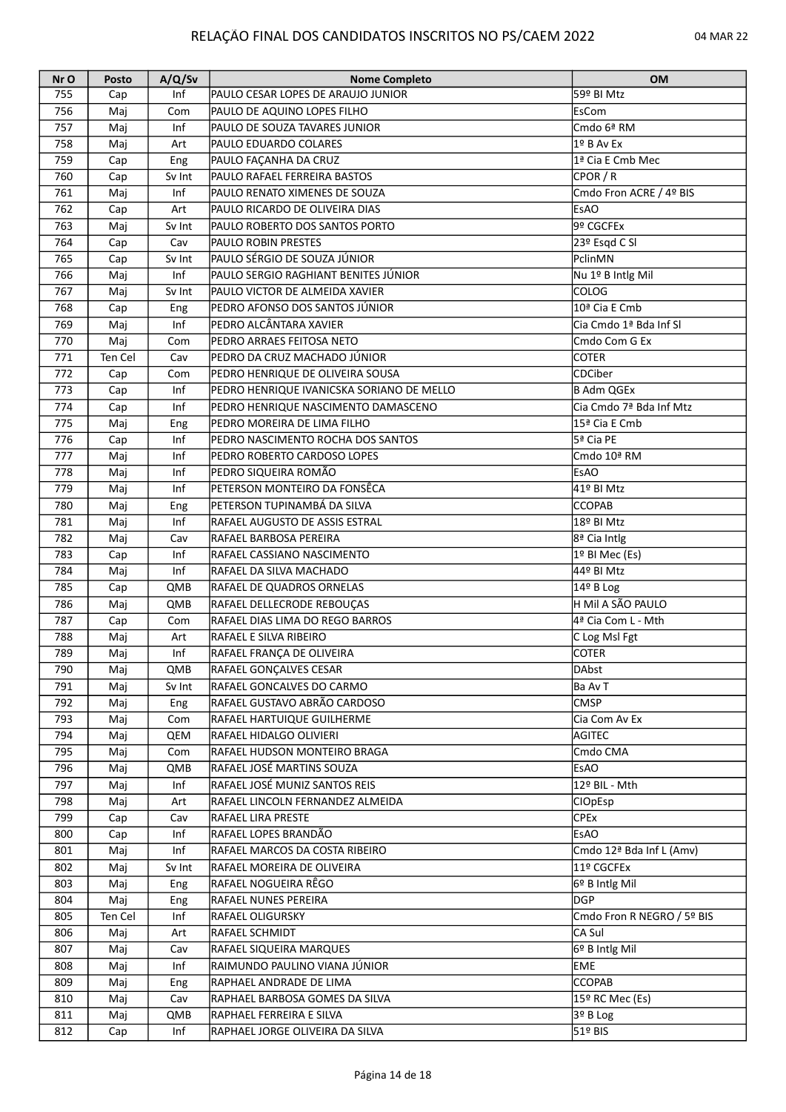| Nr O | Posto   | A/Q/Sv | <b>Nome Completo</b>                      | <b>OM</b>                               |
|------|---------|--------|-------------------------------------------|-----------------------------------------|
| 755  | Cap     | Inf    | PAULO CESAR LOPES DE ARAUJO JUNIOR        | 59º BI Mtz                              |
| 756  | Maj     | Com    | PAULO DE AQUINO LOPES FILHO               | EsCom                                   |
| 757  | Maj     | Inf    | PAULO DE SOUZA TAVARES JUNIOR             | Cmdo 6ª RM                              |
| 758  | Maj     | Art    | PAULO EDUARDO COLARES                     | 1º B Av Ex                              |
| 759  | Cap     | Eng    | PAULO FAÇANHA DA CRUZ                     | 1ª Cia E Cmb Mec                        |
| 760  | Cap     | Sv Int | PAULO RAFAEL FERREIRA BASTOS              | CPOR / R                                |
| 761  | Maj     | Inf    | PAULO RENATO XIMENES DE SOUZA             | Cmdo Fron ACRE / 4º BIS                 |
| 762  | Cap     | Art    | PAULO RICARDO DE OLIVEIRA DIAS            | <b>EsAO</b>                             |
| 763  | Maj     | Sv Int | PAULO ROBERTO DOS SANTOS PORTO            | 9º CGCFEx                               |
| 764  | Cap     | Cav    | <b>PAULO ROBIN PRESTES</b>                | 23º Esqd C SI                           |
| 765  |         | Sv Int | PAULO SÉRGIO DE SOUZA JÚNIOR              | PclinMN                                 |
|      | Cap     | Inf    |                                           |                                         |
| 766  | Maj     |        | PAULO SERGIO RAGHIANT BENITES JÚNIOR      | Nu 1º B Intlg Mil                       |
| 767  | Maj     | Sv Int | PAULO VICTOR DE ALMEIDA XAVIER            | <b>COLOG</b>                            |
| 768  | Cap     | Eng    | PEDRO AFONSO DOS SANTOS JÚNIOR            | 10ª Cia E Cmb                           |
| 769  | Maj     | Inf    | PEDRO ALCÂNTARA XAVIER                    | Cia Cmdo 1ª Bda Inf SI                  |
| 770  | Maj     | Com    | PEDRO ARRAES FEITOSA NETO                 | Cmdo Com G Ex                           |
| 771  | Ten Cel | Cav    | PEDRO DA CRUZ MACHADO JÚNIOR              | <b>COTER</b>                            |
| 772  | Cap     | Com    | PEDRO HENRIQUE DE OLIVEIRA SOUSA          | <b>CDCiber</b>                          |
| 773  | Cap     | Inf    | PEDRO HENRIQUE IVANICSKA SORIANO DE MELLO | <b>B Adm QGEx</b>                       |
| 774  | Cap     | Inf    | PEDRO HENRIQUE NASCIMENTO DAMASCENO       | Cia Cmdo 7ª Bda Inf Mtz                 |
| 775  | Maj     | Eng    | PEDRO MOREIRA DE LIMA FILHO               | 15ª Cia E Cmb                           |
| 776  | Cap     | Inf    | PEDRO NASCIMENTO ROCHA DOS SANTOS         | 5ª Cia PE                               |
| 777  | Maj     | Inf    | PEDRO ROBERTO CARDOSO LOPES               | Cmdo 10ª RM                             |
| 778  | Maj     | Inf    | PEDRO SIQUEIRA ROMÃO                      | <b>EsAO</b>                             |
| 779  | Maj     | Inf    | PETERSON MONTEIRO DA FONSÊCA              | 41º BI Mtz                              |
| 780  | Maj     | Eng    | PETERSON TUPINAMBÁ DA SILVA               | <b>CCOPAB</b>                           |
| 781  | Maj     | Inf    | <b>RAFAEL AUGUSTO DE ASSIS ESTRAL</b>     | 18º BI Mtz                              |
| 782  | Maj     | Cav    | RAFAEL BARBOSA PEREIRA                    | 8ª Cia Intlg                            |
| 783  | Cap     | Inf    | RAFAEL CASSIANO NASCIMENTO                | 1º BI Mec (Es)                          |
| 784  | Maj     | Inf    | RAFAEL DA SILVA MACHADO                   | 44º BI Mtz                              |
|      |         |        |                                           |                                         |
| 785  | Cap     | QMB    | RAFAEL DE QUADROS ORNELAS                 | $14^{\circ}$ B Log<br>H MII A SÃO PAULO |
| 786  | Maj     | QMB    | RAFAEL DELLECRODE REBOUÇAS                |                                         |
| 787  | Cap     | Com    | RAFAEL DIAS LIMA DO REGO BARROS           | 4ª Cia Com L - Mth                      |
| 788  | Maj     | Art    | RAFAEL E SILVA RIBEIRO                    | C Log Msl Fgt                           |
| 789  | Maj     | Inf    | RAFAEL FRANÇA DE OLIVEIRA                 | <b>COTER</b>                            |
| 790  | Maj     | QMB    | RAFAEL GONÇALVES CESAR                    | DAbst                                   |
| 791  | Maj     | Sv Int | RAFAEL GONCALVES DO CARMO                 | Ba Av T                                 |
| 792  | Maj     | Eng    | RAFAEL GUSTAVO ABRÃO CARDOSO              | <b>CMSP</b>                             |
| 793  | Maj     | Com    | RAFAEL HARTUIQUE GUILHERME                | Cia Com Av Ex                           |
| 794  | Maj     | QEM    | RAFAEL HIDALGO OLIVIERI                   | AGITEC                                  |
| 795  | Maj     | Com    | RAFAEL HUDSON MONTEIRO BRAGA              | Cmdo CMA                                |
| 796  | Maj     | QMB    | RAFAEL JOSÉ MARTINS SOUZA                 | <b>EsAO</b>                             |
| 797  | Maj     | Inf    | RAFAEL JOSÉ MUNIZ SANTOS REIS             | 12º BIL - Mth                           |
| 798  | Maj     | Art    | RAFAEL LINCOLN FERNANDEZ ALMEIDA          | CIOpEsp                                 |
| 799  | Cap     | Cav    | <b>RAFAEL LIRA PRESTE</b>                 | <b>CPEx</b>                             |
| 800  | Cap     | Inf    | RAFAEL LOPES BRANDÃO                      | <b>EsAO</b>                             |
| 801  | Maj     | Inf    | RAFAEL MARCOS DA COSTA RIBEIRO            | Cmdo 12 <sup>ª</sup> Bda Inf L (Amv)    |
| 802  | Maj     | Sv Int | RAFAEL MOREIRA DE OLIVEIRA                | 11º CGCFEx                              |
| 803  | Maj     | Eng    | RAFAEL NOGUEIRA RÊGO                      | 6º B Intlg Mil                          |
| 804  | Maj     | Eng    | RAFAEL NUNES PEREIRA                      | <b>DGP</b>                              |
| 805  | Ten Cel | Inf    | <b>RAFAEL OLIGURSKY</b>                   | Cmdo Fron R NEGRO / 5º BIS              |
| 806  | Maj     |        | RAFAEL SCHMIDT                            | CA Sul                                  |
|      |         | Art    |                                           |                                         |
| 807  | Maj     | Cav    | RAFAEL SIQUEIRA MARQUES                   | 6º B Intlg Mil                          |
| 808  | Maj     | Inf    | RAIMUNDO PAULINO VIANA JÚNIOR             | <b>EME</b>                              |
| 809  | Maj     | Eng    | RAPHAEL ANDRADE DE LIMA                   | <b>CCOPAB</b>                           |
| 810  | Maj     | Cav    | RAPHAEL BARBOSA GOMES DA SILVA            | 15º RC Mec (Es)                         |
| 811  | Maj     | QMB    | RAPHAEL FERREIRA E SILVA                  | 3º B Log                                |
| 812  | Cap     | Inf    | RAPHAEL JORGE OLIVEIRA DA SILVA           | 51º BIS                                 |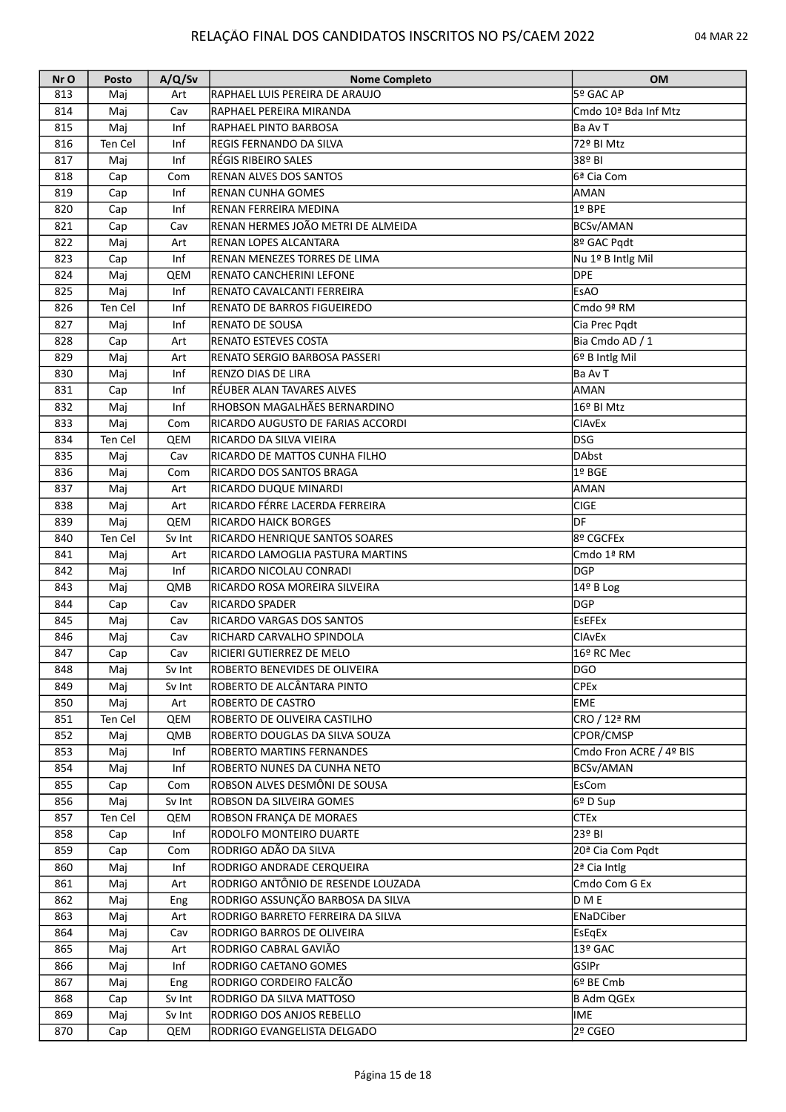| Nr O | Posto   | A/Q/Sv | <b>Nome Completo</b>                  | <b>OM</b>                        |
|------|---------|--------|---------------------------------------|----------------------------------|
| 813  | Maj     | Art    | RAPHAEL LUIS PEREIRA DE ARAUJO        | 5º GAC AP                        |
| 814  | Maj     | Cav    | RAPHAEL PEREIRA MIRANDA               | Cmdo 10 <sup>ª</sup> Bda Inf Mtz |
| 815  | Maj     | Inf    | <b>RAPHAEL PINTO BARBOSA</b>          | Ba Av T                          |
| 816  | Ten Cel | Inf    | <b>REGIS FERNANDO DA SILVA</b>        | 72º BI Mtz                       |
| 817  | Maj     | Inf    | RÉGIS RIBEIRO SALES                   | 38º BI                           |
| 818  | Cap     | Com    | <b>RENAN ALVES DOS SANTOS</b>         | 6ª Cia Com                       |
| 819  | Cap     | Inf    | <b>RENAN CUNHA GOMES</b>              | AMAN                             |
| 820  | Cap     | Inf    | RENAN FERREIRA MEDINA                 | 1º BPE                           |
| 821  | Cap     | Cav    | RENAN HERMES JOÃO METRI DE ALMEIDA    | BCSv/AMAN                        |
| 822  | Maj     | Art    | <b>RENAN LOPES ALCANTARA</b>          | 8º GAC Pqdt                      |
| 823  |         | Inf    | <b>RENAN MENEZES TORRES DE LIMA</b>   |                                  |
|      | Cap     |        |                                       | Nu 1º B Intlg Mil<br><b>DPE</b>  |
| 824  | Maj     | QEM    | RENATO CANCHERINI LEFONE              |                                  |
| 825  | Maj     | Inf    | RENATO CAVALCANTI FERREIRA            | <b>EsAO</b>                      |
| 826  | Ten Cel | Inf    | <b>RENATO DE BARROS FIGUEIREDO</b>    | Cmdo 9ª RM                       |
| 827  | Maj     | Inf    | <b>RENATO DE SOUSA</b>                | Cia Prec Pqdt                    |
| 828  | Cap     | Art    | <b>RENATO ESTEVES COSTA</b>           | Bia Cmdo AD / 1                  |
| 829  | Maj     | Art    | RENATO SERGIO BARBOSA PASSERI         | 6º B Intlg Mil                   |
| 830  | Maj     | Inf    | <b>RENZO DIAS DE LIRA</b>             | Ba Av T                          |
| 831  | Cap     | Inf    | RÉUBER ALAN TAVARES ALVES             | AMAN                             |
| 832  | Maj     | Inf    | RHOBSON MAGALHÃES BERNARDINO          | 16º BI Mtz                       |
| 833  | Maj     | Com    | RICARDO AUGUSTO DE FARIAS ACCORDI     | <b>CIAVEX</b>                    |
| 834  | Ten Cel | QEM    | RICARDO DA SILVA VIEIRA               | <b>DSG</b>                       |
| 835  | Maj     | Cav    | RICARDO DE MATTOS CUNHA FILHO         | DAbst                            |
| 836  | Maj     | Com    | RICARDO DOS SANTOS BRAGA              | $1°$ BGE                         |
| 837  | Maj     | Art    | RICARDO DUQUE MINARDI                 | AMAN                             |
| 838  | Maj     | Art    | RICARDO FÉRRE LACERDA FERREIRA        | <b>CIGE</b>                      |
| 839  | Maj     | QEM    | <b>RICARDO HAICK BORGES</b>           | DF                               |
| 840  | Ten Cel | Sv Int | <b>RICARDO HENRIQUE SANTOS SOARES</b> | 8º CGCFEx                        |
| 841  | Maj     | Art    | RICARDO LAMOGLIA PASTURA MARTINS      | Cmdo 1ª RM                       |
| 842  |         | Inf    | RICARDO NICOLAU CONRADI               | <b>DGP</b>                       |
| 843  | Maj     |        | RICARDO ROSA MOREIRA SILVEIRA         |                                  |
|      | Maj     | QMB    |                                       | 14º B Log                        |
| 844  | Cap     | Cav    | RICARDO SPADER                        | <b>DGP</b>                       |
| 845  | Maj     | Cav    | <b>RICARDO VARGAS DOS SANTOS</b>      | <b>EsEFEx</b>                    |
| 846  | Maj     | Cav    | RICHARD CARVALHO SPINDOLA             | <b>CIAvEx</b>                    |
| 847  | Cap     | Cav    | RICIERI GUTIERREZ DE MELO             | 16º RC Mec                       |
| 848  | Maj     | Sv Int | ROBERTO BENEVIDES DE OLIVEIRA         | <b>DGO</b>                       |
| 849  | Maj     | Sv Int | ROBERTO DE ALCÂNTARA PINTO            | <b>CPEx</b>                      |
| 850  | Maj     | Art    | <b>ROBERTO DE CASTRO</b>              | <b>EME</b>                       |
| 851  | Ten Cel | QEM    | ROBERTO DE OLIVEIRA CASTILHO          | CRO / 12ª RM                     |
| 852  | Maj     | QMB    | ROBERTO DOUGLAS DA SILVA SOUZA        | CPOR/CMSP                        |
| 853  | Maj     | Inf    | <b>ROBERTO MARTINS FERNANDES</b>      | Cmdo Fron ACRE / 4º BIS          |
| 854  | Maj     | Inf    | ROBERTO NUNES DA CUNHA NETO           | BCSv/AMAN                        |
| 855  | Cap     | Com    | ROBSON ALVES DESMÔNI DE SOUSA         | EsCom                            |
| 856  | Maj     | Sv Int | ROBSON DA SILVEIRA GOMES              | 6º D Sup                         |
| 857  | Ten Cel | QEM    | ROBSON FRANÇA DE MORAES               | CTEx                             |
| 858  | Cap     | Inf    | RODOLFO MONTEIRO DUARTE               | 23º BI                           |
| 859  | Cap     | Com    | RODRIGO ADÃO DA SILVA                 | 20 <sup>ª</sup> Cia Com Pqdt     |
| 860  | Maj     | Inf    | RODRIGO ANDRADE CERQUEIRA             | 2ª Cia Intlg                     |
| 861  | Maj     | Art    | RODRIGO ANTÔNIO DE RESENDE LOUZADA    | Cmdo Com G Ex                    |
| 862  | Maj     | Eng    | RODRIGO ASSUNÇÃO BARBOSA DA SILVA     | D M E                            |
| 863  | Maj     | Art    | RODRIGO BARRETO FERREIRA DA SILVA     | ENaDCiber                        |
| 864  | Maj     | Cav    | RODRIGO BARROS DE OLIVEIRA            | EsEgEx                           |
| 865  |         |        | RODRIGO CABRAL GAVIÃO                 | 13º GAC                          |
|      | Maj     | Art    |                                       |                                  |
| 866  | Maj     | Inf    | RODRIGO CAETANO GOMES                 | GSIPr                            |
| 867  | Maj     | Eng    | RODRIGO CORDEIRO FALCÃO               | 6º BE Cmb                        |
| 868  | Cap     | Sv Int | RODRIGO DA SILVA MATTOSO              | B Adm QGEx                       |
| 869  | Maj     | Sv Int | RODRIGO DOS ANJOS REBELLO             | IME                              |
| 870  | Cap     | QEM    | RODRIGO EVANGELISTA DELGADO           | 2º CGEO                          |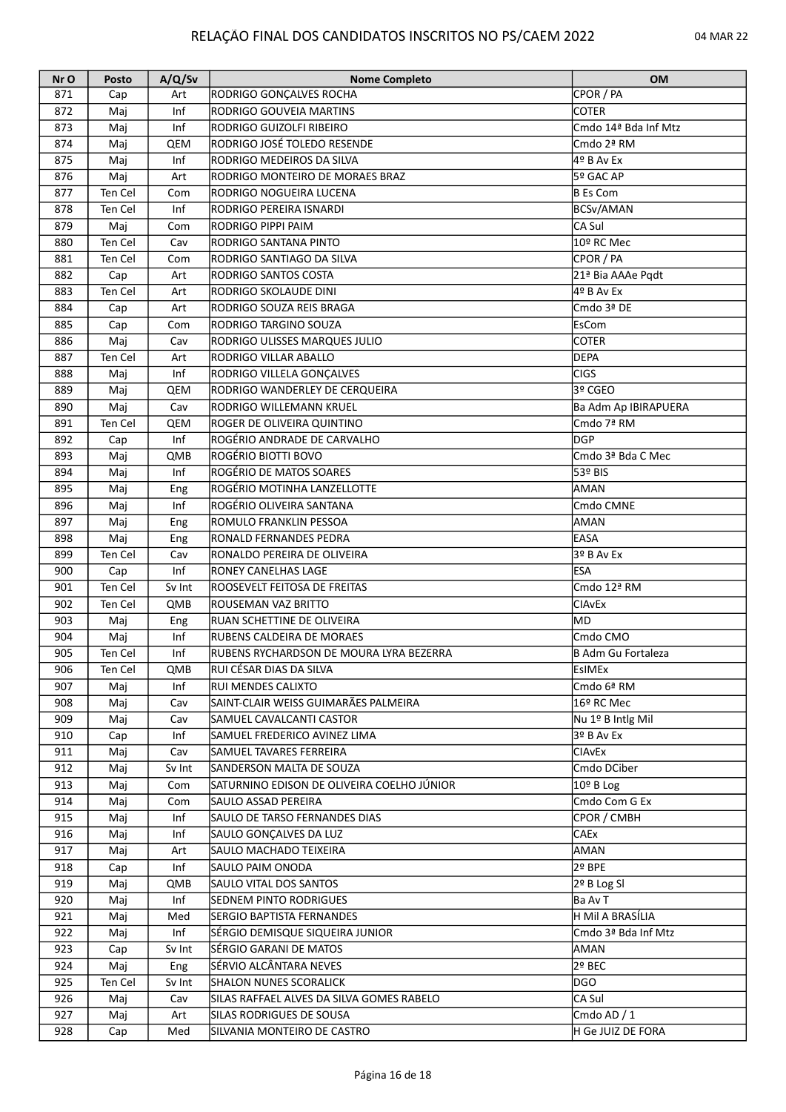| Nr O | <b>Posto</b> | A/Q/Sv | <b>Nome Completo</b>                       | <b>OM</b>                     |
|------|--------------|--------|--------------------------------------------|-------------------------------|
| 871  | Cap          | Art    | RODRIGO GONÇALVES ROCHA                    | CPOR / PA                     |
| 872  | Maj          | Inf    | RODRIGO GOUVEIA MARTINS                    | <b>COTER</b>                  |
| 873  | Maj          | Inf    | RODRIGO GUIZOLFI RIBEIRO                   | Cmdo 14ª Bda Inf Mtz          |
| 874  | Maj          | QEM    | RODRIGO JOSÉ TOLEDO RESENDE                | Cmdo 2ª RM                    |
| 875  | Maj          | Inf    | RODRIGO MEDEIROS DA SILVA                  | 4º B Av Ex                    |
| 876  | Maj          | Art    | RODRIGO MONTEIRO DE MORAES BRAZ            | 5º GAC AP                     |
| 877  | Ten Cel      | Com    | RODRIGO NOGUEIRA LUCENA                    | B Es Com                      |
| 878  | Ten Cel      | Inf    | RODRIGO PEREIRA ISNARDI                    | BCSv/AMAN                     |
| 879  | Maj          | Com    | RODRIGO PIPPI PAIM                         | CA Sul                        |
| 880  | Ten Cel      | Cav    | RODRIGO SANTANA PINTO                      | 10º RC Mec                    |
| 881  |              |        | RODRIGO SANTIAGO DA SILVA                  | CPOR / PA                     |
|      | Ten Cel      | Com    |                                            |                               |
| 882  | Cap          | Art    | RODRIGO SANTOS COSTA                       | 21 <sup>ª</sup> Bia AAAe Pgdt |
| 883  | Ten Cel      | Art    | RODRIGO SKOLAUDE DINI                      | 4º B Av Ex                    |
| 884  | Cap          | Art    | RODRIGO SOUZA REIS BRAGA                   | Cmdo 3ª DE                    |
| 885  | Cap          | Com    | RODRIGO TARGINO SOUZA                      | EsCom                         |
| 886  | Maj          | Cav    | RODRIGO ULISSES MARQUES JULIO              | <b>COTER</b>                  |
| 887  | Ten Cel      | Art    | RODRIGO VILLAR ABALLO                      | <b>DEPA</b>                   |
| 888  | Maj          | Inf    | RODRIGO VILLELA GONÇALVES                  | <b>CIGS</b>                   |
| 889  | Maj          | QEM    | RODRIGO WANDERLEY DE CERQUEIRA             | 3º CGEO                       |
| 890  | Maj          | Cav    | RODRIGO WILLEMANN KRUEL                    | Ba Adm Ap IBIRAPUERA          |
| 891  | Ten Cel      | QEM    | ROGER DE OLIVEIRA QUINTINO                 | Cmdo 7ª RM                    |
| 892  | Cap          | Inf    | ROGÉRIO ANDRADE DE CARVALHO                | <b>DGP</b>                    |
| 893  | Maj          | QMB    | ROGÉRIO BIOTTI BOVO                        | Cmdo 3ª Bda C Mec             |
| 894  | Maj          | Inf    | ROGÉRIO DE MATOS SOARES                    | 53º BIS                       |
| 895  | Maj          | Eng    | ROGÉRIO MOTINHA LANZELLOTTE                | AMAN                          |
| 896  | Maj          | Inf    | ROGÉRIO OLIVEIRA SANTANA                   | Cmdo CMNE                     |
| 897  | Maj          | Eng    | ROMULO FRANKLIN PESSOA                     | AMAN                          |
| 898  | Maj          | Eng    | RONALD FERNANDES PEDRA                     | <b>EASA</b>                   |
| 899  | Ten Cel      | Cav    | RONALDO PEREIRA DE OLIVEIRA                | 3º B Av Ex                    |
|      |              | Inf    |                                            |                               |
| 900  | Cap          |        | <b>RONEY CANELHAS LAGE</b>                 | <b>ESA</b>                    |
| 901  | Ten Cel      | Sv Int | ROOSEVELT FEITOSA DE FREITAS               | Cmdo 12ª RM                   |
| 902  | Ten Cel      | QMB    | ROUSEMAN VAZ BRITTO                        | <b>CIAvEx</b>                 |
| 903  | Maj          | Eng    | RUAN SCHETTINE DE OLIVEIRA                 | lmd                           |
| 904  | Maj          | Inf    | RUBENS CALDEIRA DE MORAES                  | Cmdo CMO                      |
| 905  | Ten Cel      | Inf    | RUBENS RYCHARDSON DE MOURA LYRA BEZERRA    | B Adm Gu Fortaleza            |
| 906  | Ten Cel      | QMB    | RUI CÉSAR DIAS DA SILVA                    | EsIMEx                        |
| 907  | Maj          | Inf    | <b>RUI MENDES CALIXTO</b>                  | Cmdo 6ª RM                    |
| 908  | Maj          | Cav    | SAINT-CLAIR WEISS GUIMARÃES PALMEIRA       | 16º RC Mec                    |
| 909  | Maj          | Cav    | SAMUEL CAVALCANTI CASTOR                   | Nu 1º B Intlg Mil             |
| 910  | Cap          | Inf    | SAMUEL FREDERICO AVINEZ LIMA               | 3º B Av Ex                    |
| 911  | Maj          | Cav    | SAMUEL TAVARES FERREIRA                    | <b>CIAvEx</b>                 |
| 912  | Maj          | Sv Int | SANDERSON MALTA DE SOUZA                   | Cmdo DCiber                   |
| 913  | Maj          | Com    | SATURNINO EDISON DE OLIVEIRA COELHO JÚNIOR | 10º B Log                     |
| 914  | Maj          | Com    | <b>SAULO ASSAD PEREIRA</b>                 | Cmdo Com G Ex                 |
| 915  | Maj          | Inf    | SAULO DE TARSO FERNANDES DIAS              | CPOR / CMBH                   |
| 916  | Maj          | Inf    | SAULO GONÇALVES DA LUZ                     | <b>CAEx</b>                   |
| 917  | Maj          | Art    | SAULO MACHADO TEIXEIRA                     | AMAN                          |
| 918  | Cap          | Inf    | SAULO PAIM ONODA                           | 2º BPE                        |
| 919  | Maj          | QMB    | SAULO VITAL DOS SANTOS                     | 2º B Log SI                   |
| 920  |              | Inf    | SEDNEM PINTO RODRIGUES                     | lBa Av T                      |
|      | Maj          |        |                                            |                               |
| 921  | Maj          | Med    | SERGIO BAPTISTA FERNANDES                  | H Mil A BRASÍLIA              |
| 922  | Maj          | Inf    | SÉRGIO DEMISQUE SIQUEIRA JUNIOR            | Cmdo 3ª Bda Inf Mtz           |
| 923  | Cap          | Sv Int | SÉRGIO GARANI DE MATOS                     | AMAN                          |
| 924  | Maj          | Eng    | SÉRVIO ALCÂNTARA NEVES                     | 2º BEC                        |
| 925  | Ten Cel      | Sv Int | SHALON NUNES SCORALICK                     | DGO                           |
| 926  | Maj          | Cav    | SILAS RAFFAEL ALVES DA SILVA GOMES RABELO  | CA Sul                        |
| 927  | Maj          | Art    | SILAS RODRIGUES DE SOUSA                   | Cmdo AD / 1                   |
| 928  | Cap          | Med    | SILVANIA MONTEIRO DE CASTRO                | H Ge JUIZ DE FORA             |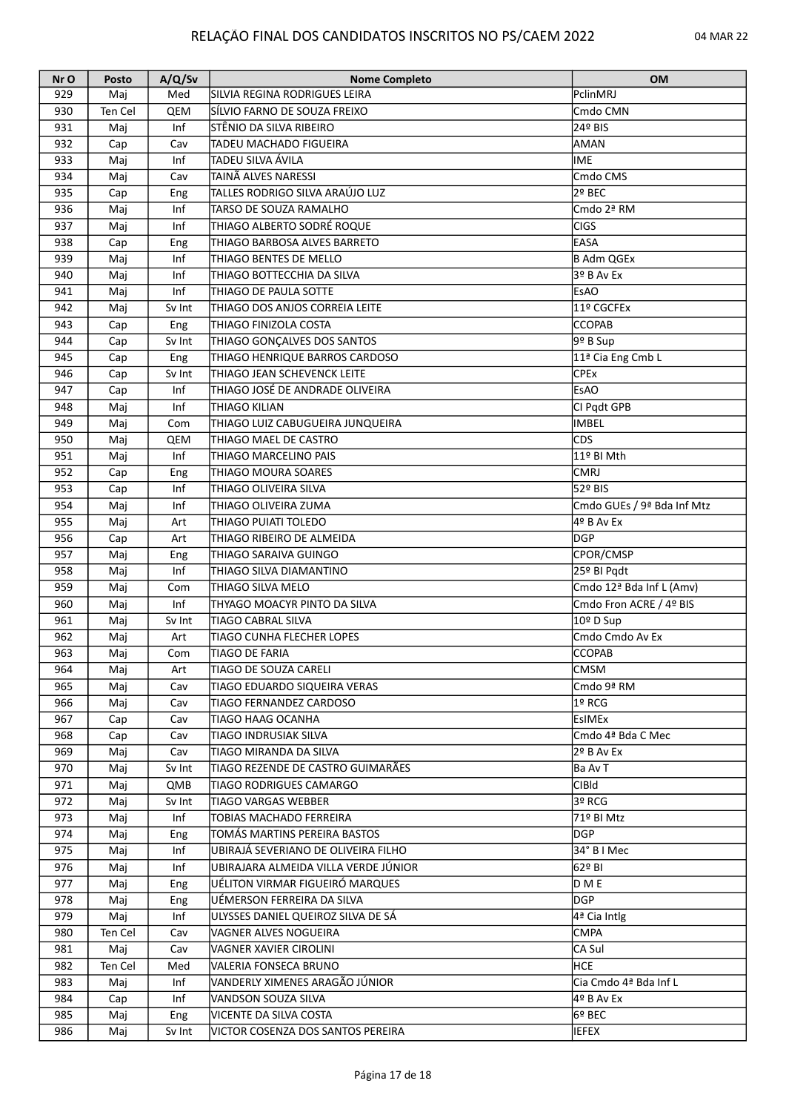| Nr O | Posto   | A/Q/Sv | <b>Nome Completo</b>                  | <b>OM</b>                  |
|------|---------|--------|---------------------------------------|----------------------------|
| 929  | Maj     | Med    | ISILVIA REGINA RODRIGUES LEIRA        | PclinMRJ                   |
| 930  | Ten Cel | QEM    | SÍLVIO FARNO DE SOUZA FREIXO          | Cmdo CMN                   |
| 931  | Maj     | Inf    | STÊNIO DA SILVA RIBEIRO               | 24º BIS                    |
| 932  | Cap     | Cav    | <b>TADEU MACHADO FIGUEIRA</b>         | AMAN                       |
| 933  | Maj     | Inf    | TADEU SILVA ÁVILA                     | IME                        |
| 934  | Maj     | Cav    | TAINÃ ALVES NARESSI                   | Cmdo CMS                   |
| 935  | Cap     | Eng    | TALLES RODRIGO SILVA ARAÚJO LUZ       | 2º BEC                     |
| 936  | Maj     | Inf    | TARSO DE SOUZA RAMALHO                | Cmdo 2ª RM                 |
| 937  | Maj     | Inf    | THIAGO ALBERTO SODRÉ ROQUE            | <b>CIGS</b>                |
| 938  | Cap     | Eng    | THIAGO BARBOSA ALVES BARRETO          | EASA                       |
| 939  | Maj     | Inf    | THIAGO BENTES DE MELLO                | B Adm QGEx                 |
| 940  | Maj     | Inf    | THIAGO BOTTECCHIA DA SILVA            | 3º B Av Ex                 |
|      |         | Inf    |                                       |                            |
| 941  | Maj     |        | <b>THIAGO DE PAULA SOTTE</b>          | <b>EsAO</b>                |
| 942  | Maj     | Sv Int | THIAGO DOS ANJOS CORREIA LEITE        | 11º CGCFEx                 |
| 943  | Cap     | Eng    | THIAGO FINIZOLA COSTA                 | <b>CCOPAB</b>              |
| 944  | Cap     | Sv Int | THIAGO GONÇALVES DOS SANTOS           | 9º B Sup                   |
| 945  | Cap     | Eng    | <b>THIAGO HENRIQUE BARROS CARDOSO</b> | 11ª Cia Eng Cmb L          |
| 946  | Cap     | Sv Int | THIAGO JEAN SCHEVENCK LEITE           | <b>CPEx</b>                |
| 947  | Cap     | Inf    | THIAGO JOSÉ DE ANDRADE OLIVEIRA       | <b>EsAO</b>                |
| 948  | Maj     | Inf    | ITHIAGO KILIAN                        | CI Pqdt GPB                |
| 949  | Maj     | Com    | THIAGO LUIZ CABUGUEIRA JUNQUEIRA      | IMBEL                      |
| 950  | Maj     | QEM    | THIAGO MAEL DE CASTRO                 | CDS                        |
| 951  | Maj     | Inf    | <b>THIAGO MARCELINO PAIS</b>          | 11º BI Mth                 |
| 952  | Cap     | Eng    | THIAGO MOURA SOARES                   | <b>CMRJ</b>                |
| 953  | Cap     | Inf    | THIAGO OLIVEIRA SILVA                 | 52º BIS                    |
| 954  | Maj     | Inf    | THIAGO OLIVEIRA ZUMA                  | Cmdo GUEs / 9ª Bda Inf Mtz |
| 955  | Maj     | Art    | THIAGO PUIATI TOLEDO                  | $49$ B Av Ex               |
| 956  | Cap     | Art    | THIAGO RIBEIRO DE ALMEIDA             | <b>DGP</b>                 |
| 957  | Maj     | Eng    | THIAGO SARAIVA GUINGO                 | CPOR/CMSP                  |
| 958  | Maj     | Inf    | THIAGO SILVA DIAMANTINO               | 25º BI Pqdt                |
| 959  | Maj     | Com    | ITHIAGO SILVA MELO                    | Cmdo 12ª Bda Inf L (Amv)   |
| 960  | Maj     | Inf    | ITHYAGO MOACYR PINTO DA SILVA         | Cmdo Fron ACRE / 4º BIS    |
| 961  | Maj     | Sv Int | <b>TIAGO CABRAL SILVA</b>             | 10º D Sup                  |
| 962  | Maj     | Art    | ITIAGO CUNHA FLECHER LOPES            | Cmdo Cmdo Av Ex            |
| 963  | Maj     | Com    | <b>TIAGO DE FARIA</b>                 | <b>CCOPAB</b>              |
| 964  | Maj     | Art    | <b>TIAGO DE SOUZA CARELI</b>          | CMSM                       |
| 965  | Maj     | Cav    | ITIAGO EDUARDO SIQUEIRA VERAS         | Cmdo 9ª RM                 |
| 966  |         | Cav    | TIAGO FERNANDEZ CARDOSO               | 1º RCG                     |
| 967  | Maj     |        | <b>TIAGO HAAG OCANHA</b>              |                            |
|      | Cap     | Cav    |                                       | EsIMEx                     |
| 968  | Cap     | Cav    | <b>TIAGO INDRUSIAK SILVA</b>          | Cmdo 4ª Bda C Mec          |
| 969  | Maj     | Cav    | TIAGO MIRANDA DA SILVA                | 2º B Av Ex                 |
| 970  | Maj     | Sv Int | TIAGO REZENDE DE CASTRO GUIMARÃES     | Ba Av T                    |
| 971  | Maj     | QMB    | TIAGO RODRIGUES CAMARGO               | CIBId                      |
| 972  | Maj     | Sv Int | ITIAGO VARGAS WEBBER                  | 3º RCG                     |
| 973  | Maj     | Inf    | TOBIAS MACHADO FERREIRA               | 71º BI Mtz                 |
| 974  | Maj     | Eng    | TOMÁS MARTINS PEREIRA BASTOS          | <b>DGP</b>                 |
| 975  | Maj     | Inf    | UBIRAJÁ SEVERIANO DE OLIVEIRA FILHO   | 34° B I Mec                |
| 976  | Maj     | Inf    | UBIRAJARA ALMEIDA VILLA VERDE JÚNIOR  | 62º BI                     |
| 977  | Maj     | Eng    | UÉLITON VIRMAR FIGUEIRÓ MARQUES       | D M E                      |
| 978  | Maj     | Eng    | UÉMERSON FERREIRA DA SILVA            | <b>DGP</b>                 |
| 979  | Maj     | Inf    | ULYSSES DANIEL QUEIROZ SILVA DE SÁ    | 4ª Cia Intlg               |
| 980  | Ten Cel | Cav    | VAGNER ALVES NOGUEIRA                 | <b>CMPA</b>                |
| 981  | Maj     | Cav    | VAGNER XAVIER CIROLINI                | CA Sul                     |
| 982  | Ten Cel | Med    | VALERIA FONSECA BRUNO                 | HCE                        |
| 983  | Maj     | Inf    | VANDERLY XIMENES ARAGÃO JÚNIOR        | Cia Cmdo 4ª Bda Inf L      |
| 984  | Cap     | Inf    | VANDSON SOUZA SILVA                   | 4º B Av Ex                 |
| 985  | Maj     | Eng    | VICENTE DA SILVA COSTA                | l6º BEC                    |
| 986  | Maj     | Sv Int | VICTOR COSENZA DOS SANTOS PEREIRA     | <b>IEFEX</b>               |
|      |         |        |                                       |                            |